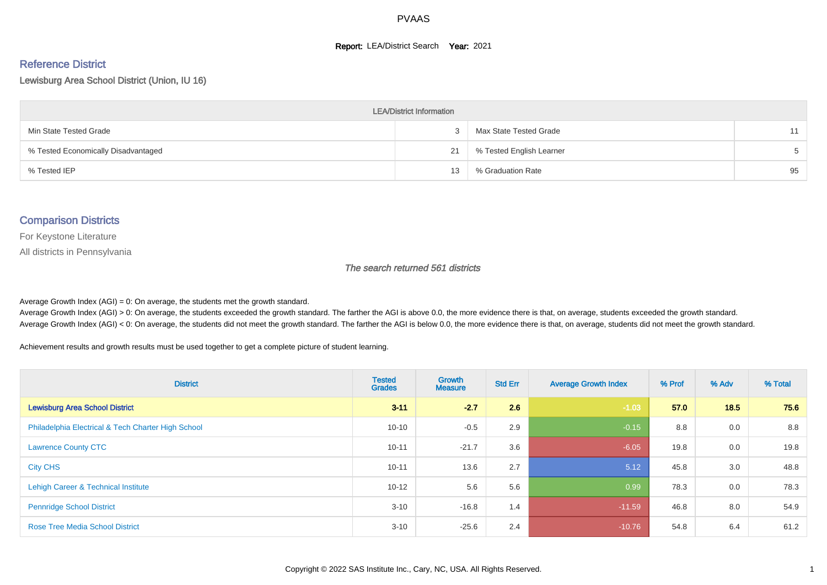#### **Report: LEA/District Search Year: 2021**

# Reference District

Lewisburg Area School District (Union, IU 16)

| <b>LEA/District Information</b>     |    |                          |    |  |  |  |  |  |  |  |
|-------------------------------------|----|--------------------------|----|--|--|--|--|--|--|--|
| Min State Tested Grade              |    | Max State Tested Grade   | 11 |  |  |  |  |  |  |  |
| % Tested Economically Disadvantaged | 21 | % Tested English Learner |    |  |  |  |  |  |  |  |
| % Tested IEP                        | 13 | % Graduation Rate        | 95 |  |  |  |  |  |  |  |

#### Comparison Districts

For Keystone Literature

All districts in Pennsylvania

The search returned 561 districts

Average Growth Index  $(AGI) = 0$ : On average, the students met the growth standard.

Average Growth Index (AGI) > 0: On average, the students exceeded the growth standard. The farther the AGI is above 0.0, the more evidence there is that, on average, students exceeded the growth standard. Average Growth Index (AGI) < 0: On average, the students did not meet the growth standard. The farther the AGI is below 0.0, the more evidence there is that, on average, students did not meet the growth standard.

Achievement results and growth results must be used together to get a complete picture of student learning.

| <b>District</b>                                    | <b>Tested</b><br><b>Grades</b> | Growth<br><b>Measure</b> | <b>Std Err</b> | <b>Average Growth Index</b> | % Prof | % Adv | % Total |
|----------------------------------------------------|--------------------------------|--------------------------|----------------|-----------------------------|--------|-------|---------|
| <b>Lewisburg Area School District</b>              | $3 - 11$                       | $-2.7$                   | 2.6            | $-1.03$                     | 57.0   | 18.5  | 75.6    |
| Philadelphia Electrical & Tech Charter High School | $10 - 10$                      | $-0.5$                   | 2.9            | $-0.15$                     | 8.8    | 0.0   | 8.8     |
| <b>Lawrence County CTC</b>                         | $10 - 11$                      | $-21.7$                  | 3.6            | $-6.05$                     | 19.8   | 0.0   | 19.8    |
| <b>City CHS</b>                                    | $10 - 11$                      | 13.6                     | 2.7            | 5.12                        | 45.8   | 3.0   | 48.8    |
| Lehigh Career & Technical Institute                | $10 - 12$                      | 5.6                      | 5.6            | 0.99                        | 78.3   | 0.0   | 78.3    |
| <b>Pennridge School District</b>                   | $3 - 10$                       | $-16.8$                  | 1.4            | $-11.59$                    | 46.8   | 8.0   | 54.9    |
| <b>Rose Tree Media School District</b>             | $3 - 10$                       | $-25.6$                  | 2.4            | $-10.76$                    | 54.8   | 6.4   | 61.2    |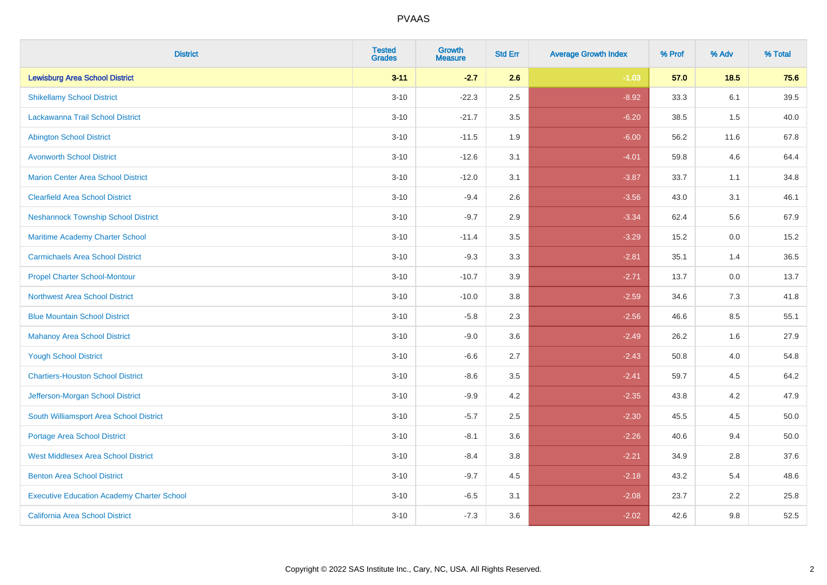| <b>District</b>                                   | <b>Tested</b><br><b>Grades</b> | Growth<br><b>Measure</b> | <b>Std Err</b> | <b>Average Growth Index</b> | % Prof | % Adv  | % Total |
|---------------------------------------------------|--------------------------------|--------------------------|----------------|-----------------------------|--------|--------|---------|
| <b>Lewisburg Area School District</b>             | $3 - 11$                       | $-2.7$                   | 2.6            | $-1.03$                     | 57.0   | $18.5$ | 75.6    |
| <b>Shikellamy School District</b>                 | $3 - 10$                       | $-22.3$                  | 2.5            | $-8.92$                     | 33.3   | 6.1    | 39.5    |
| Lackawanna Trail School District                  | $3 - 10$                       | $-21.7$                  | 3.5            | $-6.20$                     | 38.5   | 1.5    | 40.0    |
| <b>Abington School District</b>                   | $3 - 10$                       | $-11.5$                  | 1.9            | $-6.00$                     | 56.2   | 11.6   | 67.8    |
| <b>Avonworth School District</b>                  | $3 - 10$                       | $-12.6$                  | 3.1            | $-4.01$                     | 59.8   | 4.6    | 64.4    |
| <b>Marion Center Area School District</b>         | $3 - 10$                       | $-12.0$                  | 3.1            | $-3.87$                     | 33.7   | 1.1    | 34.8    |
| <b>Clearfield Area School District</b>            | $3 - 10$                       | $-9.4$                   | 2.6            | $-3.56$                     | 43.0   | 3.1    | 46.1    |
| <b>Neshannock Township School District</b>        | $3 - 10$                       | $-9.7$                   | 2.9            | $-3.34$                     | 62.4   | 5.6    | 67.9    |
| Maritime Academy Charter School                   | $3 - 10$                       | $-11.4$                  | 3.5            | $-3.29$                     | 15.2   | 0.0    | 15.2    |
| <b>Carmichaels Area School District</b>           | $3 - 10$                       | $-9.3$                   | 3.3            | $-2.81$                     | 35.1   | 1.4    | 36.5    |
| <b>Propel Charter School-Montour</b>              | $3 - 10$                       | $-10.7$                  | 3.9            | $-2.71$                     | 13.7   | 0.0    | 13.7    |
| <b>Northwest Area School District</b>             | $3 - 10$                       | $-10.0$                  | 3.8            | $-2.59$                     | 34.6   | 7.3    | 41.8    |
| <b>Blue Mountain School District</b>              | $3 - 10$                       | $-5.8$                   | 2.3            | $-2.56$                     | 46.6   | 8.5    | 55.1    |
| <b>Mahanoy Area School District</b>               | $3 - 10$                       | $-9.0$                   | 3.6            | $-2.49$                     | 26.2   | 1.6    | 27.9    |
| <b>Yough School District</b>                      | $3 - 10$                       | $-6.6$                   | 2.7            | $-2.43$                     | 50.8   | 4.0    | 54.8    |
| <b>Chartiers-Houston School District</b>          | $3 - 10$                       | $-8.6$                   | 3.5            | $-2.41$                     | 59.7   | 4.5    | 64.2    |
| Jefferson-Morgan School District                  | $3 - 10$                       | $-9.9$                   | 4.2            | $-2.35$                     | 43.8   | 4.2    | 47.9    |
| South Williamsport Area School District           | $3 - 10$                       | $-5.7$                   | 2.5            | $-2.30$                     | 45.5   | 4.5    | 50.0    |
| <b>Portage Area School District</b>               | $3 - 10$                       | $-8.1$                   | 3.6            | $-2.26$                     | 40.6   | 9.4    | 50.0    |
| <b>West Middlesex Area School District</b>        | $3 - 10$                       | $-8.4$                   | 3.8            | $-2.21$                     | 34.9   | 2.8    | 37.6    |
| <b>Benton Area School District</b>                | $3 - 10$                       | $-9.7$                   | 4.5            | $-2.18$                     | 43.2   | 5.4    | 48.6    |
| <b>Executive Education Academy Charter School</b> | $3 - 10$                       | $-6.5$                   | 3.1            | $-2.08$                     | 23.7   | 2.2    | 25.8    |
| <b>California Area School District</b>            | $3 - 10$                       | $-7.3$                   | 3.6            | $-2.02$                     | 42.6   | 9.8    | 52.5    |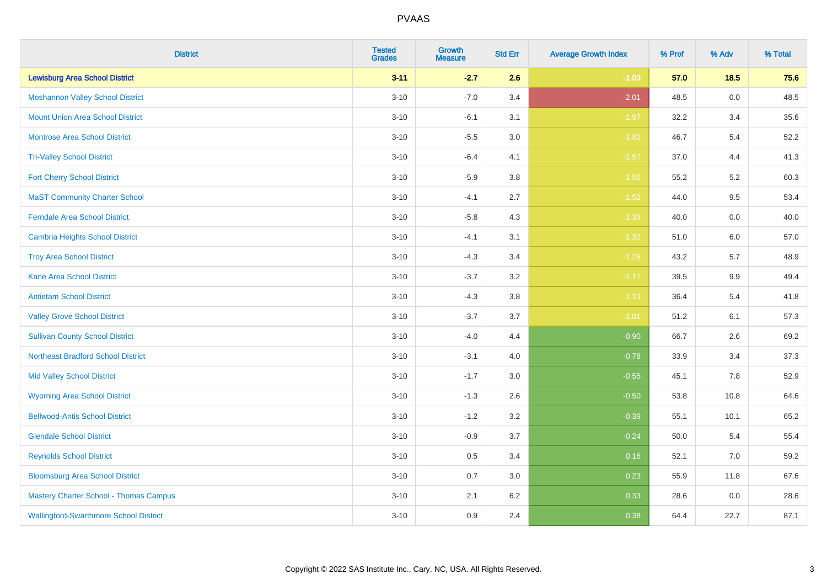| <b>District</b>                               | <b>Tested</b><br><b>Grades</b> | <b>Growth</b><br><b>Measure</b> | <b>Std Err</b> | <b>Average Growth Index</b> | % Prof | % Adv   | % Total |
|-----------------------------------------------|--------------------------------|---------------------------------|----------------|-----------------------------|--------|---------|---------|
| <b>Lewisburg Area School District</b>         | $3 - 11$                       | $-2.7$                          | 2.6            | $-1.03$                     | 57.0   | 18.5    | 75.6    |
| <b>Moshannon Valley School District</b>       | $3 - 10$                       | $-7.0$                          | 3.4            | $-2.01$                     | 48.5   | $0.0\,$ | 48.5    |
| <b>Mount Union Area School District</b>       | $3 - 10$                       | $-6.1$                          | 3.1            | $-1.97$                     | 32.2   | 3.4     | 35.6    |
| <b>Montrose Area School District</b>          | $3 - 10$                       | $-5.5$                          | $3.0\,$        | $-1.82$                     | 46.7   | 5.4     | 52.2    |
| <b>Tri-Valley School District</b>             | $3 - 10$                       | $-6.4$                          | 4.1            | $-1.57$                     | 37.0   | 4.4     | 41.3    |
| <b>Fort Cherry School District</b>            | $3 - 10$                       | $-5.9$                          | 3.8            | $-1.56$                     | 55.2   | 5.2     | 60.3    |
| <b>MaST Community Charter School</b>          | $3 - 10$                       | $-4.1$                          | 2.7            | $-1.52$                     | 44.0   | 9.5     | 53.4    |
| <b>Ferndale Area School District</b>          | $3 - 10$                       | $-5.8$                          | 4.3            | $-1.33$                     | 40.0   | 0.0     | 40.0    |
| <b>Cambria Heights School District</b>        | $3 - 10$                       | $-4.1$                          | 3.1            | $-1.32$                     | 51.0   | 6.0     | 57.0    |
| <b>Troy Area School District</b>              | $3 - 10$                       | $-4.3$                          | 3.4            | $-1.26$                     | 43.2   | 5.7     | 48.9    |
| <b>Kane Area School District</b>              | $3 - 10$                       | $-3.7$                          | 3.2            | $-1.17$                     | 39.5   | 9.9     | 49.4    |
| <b>Antietam School District</b>               | $3 - 10$                       | $-4.3$                          | 3.8            | $-1.13$                     | 36.4   | 5.4     | 41.8    |
| <b>Valley Grove School District</b>           | $3 - 10$                       | $-3.7$                          | 3.7            | $-1.01$                     | 51.2   | 6.1     | 57.3    |
| <b>Sullivan County School District</b>        | $3 - 10$                       | $-4.0$                          | 4.4            | $-0.90$                     | 66.7   | 2.6     | 69.2    |
| <b>Northeast Bradford School District</b>     | $3 - 10$                       | $-3.1$                          | 4.0            | $-0.78$                     | 33.9   | 3.4     | 37.3    |
| <b>Mid Valley School District</b>             | $3 - 10$                       | $-1.7$                          | 3.0            | $-0.55$                     | 45.1   | 7.8     | 52.9    |
| <b>Wyoming Area School District</b>           | $3 - 10$                       | $-1.3$                          | 2.6            | $-0.50$                     | 53.8   | 10.8    | 64.6    |
| <b>Bellwood-Antis School District</b>         | $3 - 10$                       | $-1.2$                          | 3.2            | $-0.39$                     | 55.1   | 10.1    | 65.2    |
| <b>Glendale School District</b>               | $3 - 10$                       | $-0.9$                          | 3.7            | $-0.24$                     | 50.0   | 5.4     | 55.4    |
| <b>Reynolds School District</b>               | $3 - 10$                       | 0.5                             | 3.4            | 0.16                        | 52.1   | $7.0\,$ | 59.2    |
| <b>Bloomsburg Area School District</b>        | $3 - 10$                       | 0.7                             | 3.0            | 0.23                        | 55.9   | 11.8    | 67.6    |
| <b>Mastery Charter School - Thomas Campus</b> | $3 - 10$                       | 2.1                             | 6.2            | 0.33                        | 28.6   | 0.0     | 28.6    |
| <b>Wallingford-Swarthmore School District</b> | $3 - 10$                       | 0.9                             | 2.4            | 0.38                        | 64.4   | 22.7    | 87.1    |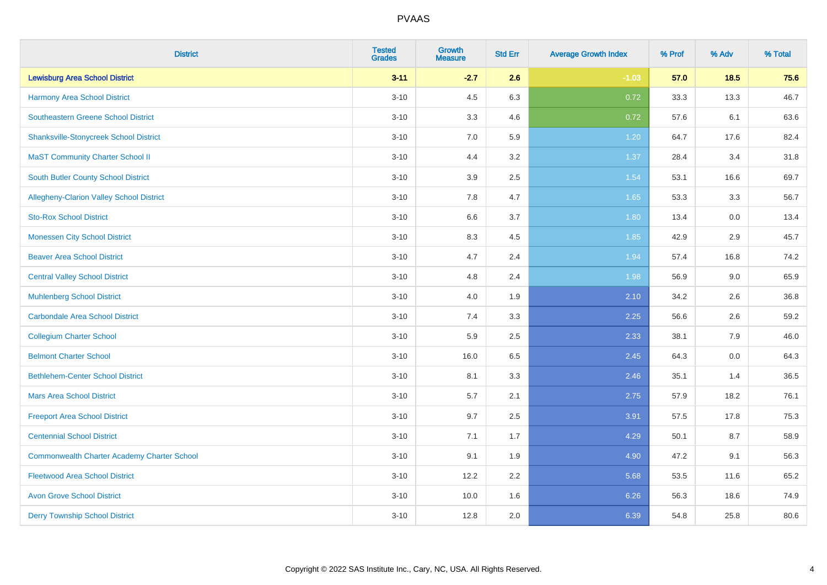| <b>District</b>                                    | <b>Tested</b><br><b>Grades</b> | <b>Growth</b><br><b>Measure</b> | <b>Std Err</b> | <b>Average Growth Index</b> | % Prof | % Adv | % Total |
|----------------------------------------------------|--------------------------------|---------------------------------|----------------|-----------------------------|--------|-------|---------|
| <b>Lewisburg Area School District</b>              | $3 - 11$                       | $-2.7$                          | 2.6            | $-1.03$                     | 57.0   | 18.5  | 75.6    |
| Harmony Area School District                       | $3 - 10$                       | 4.5                             | 6.3            | 0.72                        | 33.3   | 13.3  | 46.7    |
| <b>Southeastern Greene School District</b>         | $3 - 10$                       | 3.3                             | 4.6            | 0.72                        | 57.6   | 6.1   | 63.6    |
| <b>Shanksville-Stonycreek School District</b>      | $3 - 10$                       | 7.0                             | 5.9            | 1.20                        | 64.7   | 17.6  | 82.4    |
| <b>MaST Community Charter School II</b>            | $3 - 10$                       | 4.4                             | 3.2            | 1.37                        | 28.4   | 3.4   | 31.8    |
| South Butler County School District                | $3 - 10$                       | 3.9                             | 2.5            | 1.54                        | 53.1   | 16.6  | 69.7    |
| Allegheny-Clarion Valley School District           | $3 - 10$                       | 7.8                             | 4.7            | 1.65                        | 53.3   | 3.3   | 56.7    |
| <b>Sto-Rox School District</b>                     | $3 - 10$                       | 6.6                             | 3.7            | 1.80                        | 13.4   | 0.0   | 13.4    |
| <b>Monessen City School District</b>               | $3 - 10$                       | 8.3                             | 4.5            | 1.85                        | 42.9   | 2.9   | 45.7    |
| <b>Beaver Area School District</b>                 | $3 - 10$                       | 4.7                             | 2.4            | 1.94                        | 57.4   | 16.8  | 74.2    |
| <b>Central Valley School District</b>              | $3 - 10$                       | 4.8                             | 2.4            | 1.98                        | 56.9   | 9.0   | 65.9    |
| <b>Muhlenberg School District</b>                  | $3 - 10$                       | 4.0                             | 1.9            | 2.10                        | 34.2   | 2.6   | 36.8    |
| <b>Carbondale Area School District</b>             | $3 - 10$                       | $7.4$                           | 3.3            | 2.25                        | 56.6   | 2.6   | 59.2    |
| <b>Collegium Charter School</b>                    | $3 - 10$                       | 5.9                             | 2.5            | 2.33                        | 38.1   | 7.9   | 46.0    |
| <b>Belmont Charter School</b>                      | $3 - 10$                       | 16.0                            | 6.5            | 2.45                        | 64.3   | 0.0   | 64.3    |
| <b>Bethlehem-Center School District</b>            | $3 - 10$                       | 8.1                             | 3.3            | 2.46                        | 35.1   | 1.4   | 36.5    |
| <b>Mars Area School District</b>                   | $3 - 10$                       | 5.7                             | 2.1            | 2.75                        | 57.9   | 18.2  | 76.1    |
| <b>Freeport Area School District</b>               | $3 - 10$                       | 9.7                             | 2.5            | 3.91                        | 57.5   | 17.8  | 75.3    |
| <b>Centennial School District</b>                  | $3 - 10$                       | 7.1                             | 1.7            | 4.29                        | 50.1   | 8.7   | 58.9    |
| <b>Commonwealth Charter Academy Charter School</b> | $3 - 10$                       | 9.1                             | 1.9            | 4.90                        | 47.2   | 9.1   | 56.3    |
| <b>Fleetwood Area School District</b>              | $3 - 10$                       | 12.2                            | 2.2            | 5.68                        | 53.5   | 11.6  | 65.2    |
| <b>Avon Grove School District</b>                  | $3 - 10$                       | 10.0                            | 1.6            | 6.26                        | 56.3   | 18.6  | 74.9    |
| <b>Derry Township School District</b>              | $3 - 10$                       | 12.8                            | 2.0            | 6.39                        | 54.8   | 25.8  | 80.6    |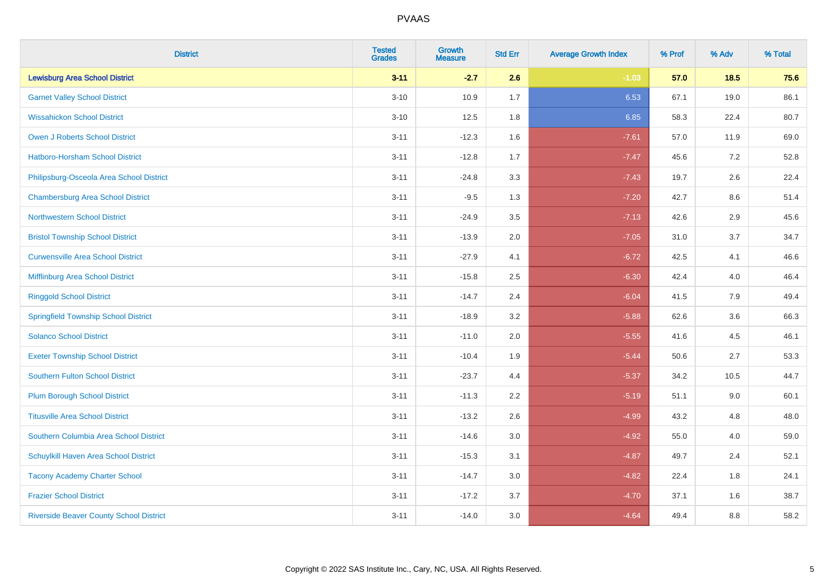| <b>District</b>                                | <b>Tested</b><br><b>Grades</b> | <b>Growth</b><br><b>Measure</b> | <b>Std Err</b> | <b>Average Growth Index</b> | % Prof | % Adv   | % Total |
|------------------------------------------------|--------------------------------|---------------------------------|----------------|-----------------------------|--------|---------|---------|
| <b>Lewisburg Area School District</b>          | $3 - 11$                       | $-2.7$                          | 2.6            | $-1.03$                     | 57.0   | 18.5    | 75.6    |
| <b>Garnet Valley School District</b>           | $3 - 10$                       | 10.9                            | 1.7            | 6.53                        | 67.1   | 19.0    | 86.1    |
| <b>Wissahickon School District</b>             | $3 - 10$                       | 12.5                            | 1.8            | 6.85                        | 58.3   | 22.4    | 80.7    |
| <b>Owen J Roberts School District</b>          | $3 - 11$                       | $-12.3$                         | 1.6            | $-7.61$                     | 57.0   | 11.9    | 69.0    |
| Hatboro-Horsham School District                | $3 - 11$                       | $-12.8$                         | 1.7            | $-7.47$                     | 45.6   | 7.2     | 52.8    |
| Philipsburg-Osceola Area School District       | $3 - 11$                       | $-24.8$                         | 3.3            | $-7.43$                     | 19.7   | 2.6     | 22.4    |
| <b>Chambersburg Area School District</b>       | $3 - 11$                       | $-9.5$                          | 1.3            | $-7.20$                     | 42.7   | $8.6\,$ | 51.4    |
| <b>Northwestern School District</b>            | $3 - 11$                       | $-24.9$                         | 3.5            | $-7.13$                     | 42.6   | 2.9     | 45.6    |
| <b>Bristol Township School District</b>        | $3 - 11$                       | $-13.9$                         | 2.0            | $-7.05$                     | 31.0   | 3.7     | 34.7    |
| <b>Curwensville Area School District</b>       | $3 - 11$                       | $-27.9$                         | 4.1            | $-6.72$                     | 42.5   | 4.1     | 46.6    |
| Mifflinburg Area School District               | $3 - 11$                       | $-15.8$                         | 2.5            | $-6.30$                     | 42.4   | 4.0     | 46.4    |
| <b>Ringgold School District</b>                | $3 - 11$                       | $-14.7$                         | 2.4            | $-6.04$                     | 41.5   | 7.9     | 49.4    |
| <b>Springfield Township School District</b>    | $3 - 11$                       | $-18.9$                         | 3.2            | $-5.88$                     | 62.6   | 3.6     | 66.3    |
| <b>Solanco School District</b>                 | $3 - 11$                       | $-11.0$                         | 2.0            | $-5.55$                     | 41.6   | 4.5     | 46.1    |
| <b>Exeter Township School District</b>         | $3 - 11$                       | $-10.4$                         | 1.9            | $-5.44$                     | 50.6   | 2.7     | 53.3    |
| <b>Southern Fulton School District</b>         | $3 - 11$                       | $-23.7$                         | 4.4            | $-5.37$                     | 34.2   | 10.5    | 44.7    |
| <b>Plum Borough School District</b>            | $3 - 11$                       | $-11.3$                         | 2.2            | $-5.19$                     | 51.1   | 9.0     | 60.1    |
| <b>Titusville Area School District</b>         | $3 - 11$                       | $-13.2$                         | 2.6            | $-4.99$                     | 43.2   | 4.8     | 48.0    |
| Southern Columbia Area School District         | $3 - 11$                       | $-14.6$                         | 3.0            | $-4.92$                     | 55.0   | 4.0     | 59.0    |
| Schuylkill Haven Area School District          | $3 - 11$                       | $-15.3$                         | 3.1            | $-4.87$                     | 49.7   | 2.4     | 52.1    |
| <b>Tacony Academy Charter School</b>           | $3 - 11$                       | $-14.7$                         | 3.0            | $-4.82$                     | 22.4   | 1.8     | 24.1    |
| <b>Frazier School District</b>                 | $3 - 11$                       | $-17.2$                         | 3.7            | $-4.70$                     | 37.1   | 1.6     | 38.7    |
| <b>Riverside Beaver County School District</b> | $3 - 11$                       | $-14.0$                         | 3.0            | $-4.64$                     | 49.4   | 8.8     | 58.2    |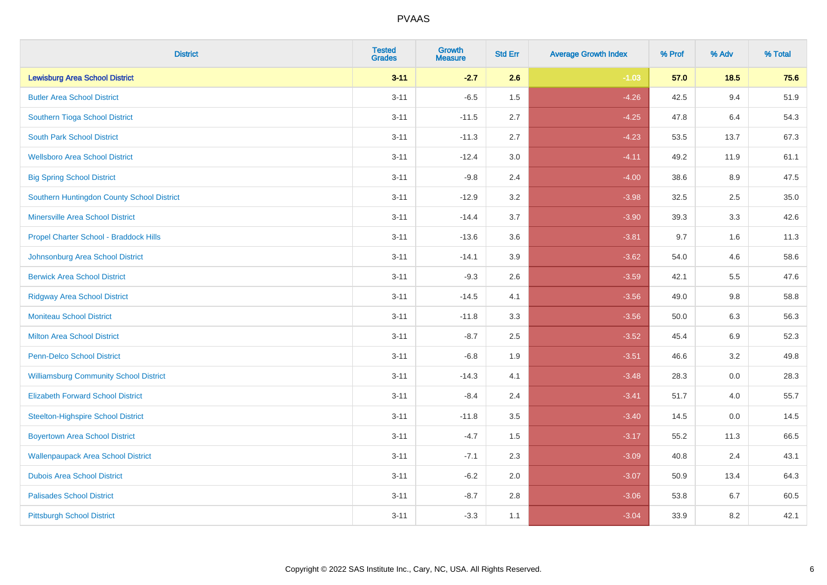| <b>District</b>                               | <b>Tested</b><br><b>Grades</b> | <b>Growth</b><br><b>Measure</b> | <b>Std Err</b> | <b>Average Growth Index</b> | % Prof | % Adv | % Total |
|-----------------------------------------------|--------------------------------|---------------------------------|----------------|-----------------------------|--------|-------|---------|
| <b>Lewisburg Area School District</b>         | $3 - 11$                       | $-2.7$                          | 2.6            | $-1.03$                     | 57.0   | 18.5  | 75.6    |
| <b>Butler Area School District</b>            | $3 - 11$                       | $-6.5$                          | 1.5            | $-4.26$                     | 42.5   | 9.4   | 51.9    |
| Southern Tioga School District                | $3 - 11$                       | $-11.5$                         | 2.7            | $-4.25$                     | 47.8   | 6.4   | 54.3    |
| <b>South Park School District</b>             | $3 - 11$                       | $-11.3$                         | 2.7            | $-4.23$                     | 53.5   | 13.7  | 67.3    |
| <b>Wellsboro Area School District</b>         | $3 - 11$                       | $-12.4$                         | 3.0            | $-4.11$                     | 49.2   | 11.9  | 61.1    |
| <b>Big Spring School District</b>             | $3 - 11$                       | $-9.8$                          | 2.4            | $-4.00$                     | 38.6   | 8.9   | 47.5    |
| Southern Huntingdon County School District    | $3 - 11$                       | $-12.9$                         | 3.2            | $-3.98$                     | 32.5   | 2.5   | 35.0    |
| <b>Minersville Area School District</b>       | $3 - 11$                       | $-14.4$                         | 3.7            | $-3.90$                     | 39.3   | 3.3   | 42.6    |
| Propel Charter School - Braddock Hills        | $3 - 11$                       | $-13.6$                         | 3.6            | $-3.81$                     | 9.7    | 1.6   | 11.3    |
| Johnsonburg Area School District              | $3 - 11$                       | $-14.1$                         | 3.9            | $-3.62$                     | 54.0   | 4.6   | 58.6    |
| <b>Berwick Area School District</b>           | $3 - 11$                       | $-9.3$                          | 2.6            | $-3.59$                     | 42.1   | 5.5   | 47.6    |
| <b>Ridgway Area School District</b>           | $3 - 11$                       | $-14.5$                         | 4.1            | $-3.56$                     | 49.0   | 9.8   | 58.8    |
| <b>Moniteau School District</b>               | $3 - 11$                       | $-11.8$                         | 3.3            | $-3.56$                     | 50.0   | 6.3   | 56.3    |
| <b>Milton Area School District</b>            | $3 - 11$                       | $-8.7$                          | 2.5            | $-3.52$                     | 45.4   | 6.9   | 52.3    |
| Penn-Delco School District                    | $3 - 11$                       | $-6.8$                          | 1.9            | $-3.51$                     | 46.6   | 3.2   | 49.8    |
| <b>Williamsburg Community School District</b> | $3 - 11$                       | $-14.3$                         | 4.1            | $-3.48$                     | 28.3   | 0.0   | 28.3    |
| <b>Elizabeth Forward School District</b>      | $3 - 11$                       | $-8.4$                          | 2.4            | $-3.41$                     | 51.7   | 4.0   | 55.7    |
| <b>Steelton-Highspire School District</b>     | $3 - 11$                       | $-11.8$                         | 3.5            | $-3.40$                     | 14.5   | 0.0   | 14.5    |
| <b>Boyertown Area School District</b>         | $3 - 11$                       | $-4.7$                          | 1.5            | $-3.17$                     | 55.2   | 11.3  | 66.5    |
| <b>Wallenpaupack Area School District</b>     | $3 - 11$                       | $-7.1$                          | 2.3            | $-3.09$                     | 40.8   | 2.4   | 43.1    |
| <b>Dubois Area School District</b>            | $3 - 11$                       | $-6.2$                          | 2.0            | $-3.07$                     | 50.9   | 13.4  | 64.3    |
| <b>Palisades School District</b>              | $3 - 11$                       | $-8.7$                          | 2.8            | $-3.06$                     | 53.8   | 6.7   | 60.5    |
| <b>Pittsburgh School District</b>             | $3 - 11$                       | $-3.3$                          | 1.1            | $-3.04$                     | 33.9   | 8.2   | 42.1    |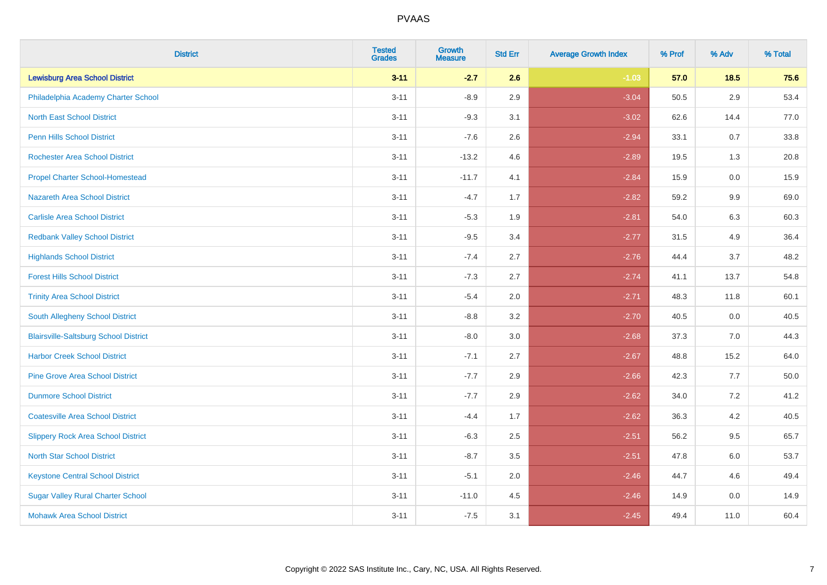| <b>District</b>                              | <b>Tested</b><br><b>Grades</b> | <b>Growth</b><br><b>Measure</b> | <b>Std Err</b> | <b>Average Growth Index</b> | % Prof | % Adv   | % Total |
|----------------------------------------------|--------------------------------|---------------------------------|----------------|-----------------------------|--------|---------|---------|
| <b>Lewisburg Area School District</b>        | $3 - 11$                       | $-2.7$                          | 2.6            | $-1.03$                     | 57.0   | 18.5    | 75.6    |
| Philadelphia Academy Charter School          | $3 - 11$                       | $-8.9$                          | 2.9            | $-3.04$                     | 50.5   | $2.9\,$ | 53.4    |
| <b>North East School District</b>            | $3 - 11$                       | $-9.3$                          | 3.1            | $-3.02$                     | 62.6   | 14.4    | 77.0    |
| <b>Penn Hills School District</b>            | $3 - 11$                       | $-7.6$                          | 2.6            | $-2.94$                     | 33.1   | 0.7     | 33.8    |
| <b>Rochester Area School District</b>        | $3 - 11$                       | $-13.2$                         | 4.6            | $-2.89$                     | 19.5   | 1.3     | 20.8    |
| <b>Propel Charter School-Homestead</b>       | $3 - 11$                       | $-11.7$                         | 4.1            | $-2.84$                     | 15.9   | 0.0     | 15.9    |
| <b>Nazareth Area School District</b>         | $3 - 11$                       | $-4.7$                          | 1.7            | $-2.82$                     | 59.2   | 9.9     | 69.0    |
| <b>Carlisle Area School District</b>         | $3 - 11$                       | $-5.3$                          | 1.9            | $-2.81$                     | 54.0   | 6.3     | 60.3    |
| <b>Redbank Valley School District</b>        | $3 - 11$                       | $-9.5$                          | 3.4            | $-2.77$                     | 31.5   | 4.9     | 36.4    |
| <b>Highlands School District</b>             | $3 - 11$                       | $-7.4$                          | 2.7            | $-2.76$                     | 44.4   | 3.7     | 48.2    |
| <b>Forest Hills School District</b>          | $3 - 11$                       | $-7.3$                          | 2.7            | $-2.74$                     | 41.1   | 13.7    | 54.8    |
| <b>Trinity Area School District</b>          | $3 - 11$                       | $-5.4$                          | 2.0            | $-2.71$                     | 48.3   | 11.8    | 60.1    |
| South Allegheny School District              | $3 - 11$                       | $-8.8$                          | 3.2            | $-2.70$                     | 40.5   | $0.0\,$ | 40.5    |
| <b>Blairsville-Saltsburg School District</b> | $3 - 11$                       | $-8.0$                          | 3.0            | $-2.68$                     | 37.3   | 7.0     | 44.3    |
| <b>Harbor Creek School District</b>          | $3 - 11$                       | $-7.1$                          | 2.7            | $-2.67$                     | 48.8   | 15.2    | 64.0    |
| <b>Pine Grove Area School District</b>       | $3 - 11$                       | $-7.7$                          | 2.9            | $-2.66$                     | 42.3   | $7.7$   | 50.0    |
| <b>Dunmore School District</b>               | $3 - 11$                       | $-7.7$                          | 2.9            | $-2.62$                     | 34.0   | $7.2\,$ | 41.2    |
| <b>Coatesville Area School District</b>      | $3 - 11$                       | $-4.4$                          | 1.7            | $-2.62$                     | 36.3   | 4.2     | 40.5    |
| <b>Slippery Rock Area School District</b>    | $3 - 11$                       | $-6.3$                          | 2.5            | $-2.51$                     | 56.2   | 9.5     | 65.7    |
| <b>North Star School District</b>            | $3 - 11$                       | $-8.7$                          | 3.5            | $-2.51$                     | 47.8   | $6.0\,$ | 53.7    |
| <b>Keystone Central School District</b>      | $3 - 11$                       | $-5.1$                          | 2.0            | $-2.46$                     | 44.7   | 4.6     | 49.4    |
| <b>Sugar Valley Rural Charter School</b>     | $3 - 11$                       | $-11.0$                         | 4.5            | $-2.46$                     | 14.9   | 0.0     | 14.9    |
| <b>Mohawk Area School District</b>           | $3 - 11$                       | $-7.5$                          | 3.1            | $-2.45$                     | 49.4   | 11.0    | 60.4    |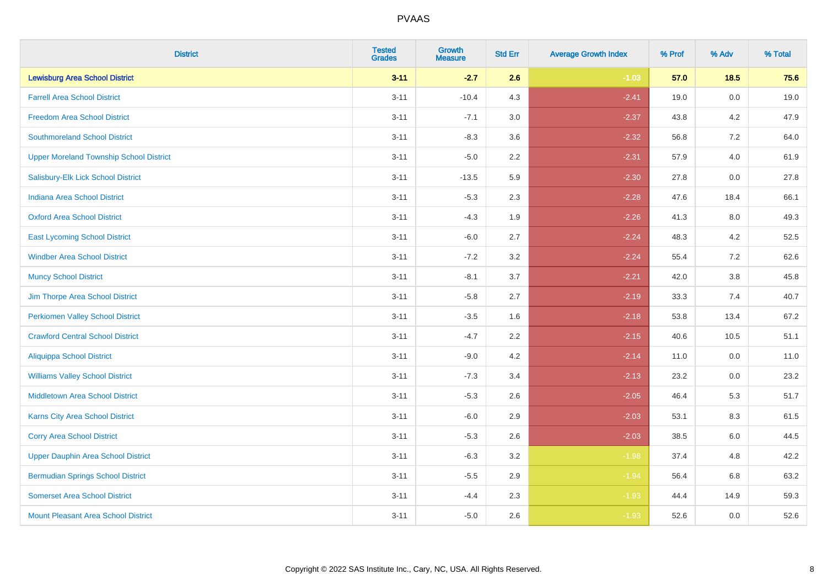| <b>District</b>                                | <b>Tested</b><br><b>Grades</b> | Growth<br><b>Measure</b> | <b>Std Err</b> | <b>Average Growth Index</b> | % Prof | % Adv   | % Total |
|------------------------------------------------|--------------------------------|--------------------------|----------------|-----------------------------|--------|---------|---------|
| <b>Lewisburg Area School District</b>          | $3 - 11$                       | $-2.7$                   | 2.6            | $-1.03$                     | 57.0   | $18.5$  | 75.6    |
| <b>Farrell Area School District</b>            | $3 - 11$                       | $-10.4$                  | 4.3            | $-2.41$                     | 19.0   | 0.0     | 19.0    |
| <b>Freedom Area School District</b>            | $3 - 11$                       | $-7.1$                   | 3.0            | $-2.37$                     | 43.8   | 4.2     | 47.9    |
| <b>Southmoreland School District</b>           | $3 - 11$                       | $-8.3$                   | 3.6            | $-2.32$                     | 56.8   | 7.2     | 64.0    |
| <b>Upper Moreland Township School District</b> | $3 - 11$                       | $-5.0$                   | 2.2            | $-2.31$                     | 57.9   | 4.0     | 61.9    |
| Salisbury-Elk Lick School District             | $3 - 11$                       | $-13.5$                  | 5.9            | $-2.30$                     | 27.8   | 0.0     | 27.8    |
| <b>Indiana Area School District</b>            | $3 - 11$                       | $-5.3$                   | 2.3            | $-2.28$                     | 47.6   | 18.4    | 66.1    |
| <b>Oxford Area School District</b>             | $3 - 11$                       | $-4.3$                   | 1.9            | $-2.26$                     | 41.3   | 8.0     | 49.3    |
| <b>East Lycoming School District</b>           | $3 - 11$                       | $-6.0$                   | 2.7            | $-2.24$                     | 48.3   | 4.2     | 52.5    |
| <b>Windber Area School District</b>            | $3 - 11$                       | $-7.2$                   | 3.2            | $-2.24$                     | 55.4   | 7.2     | 62.6    |
| <b>Muncy School District</b>                   | $3 - 11$                       | $-8.1$                   | 3.7            | $-2.21$                     | 42.0   | $3.8\,$ | 45.8    |
| Jim Thorpe Area School District                | $3 - 11$                       | $-5.8$                   | 2.7            | $-2.19$                     | 33.3   | 7.4     | 40.7    |
| <b>Perkiomen Valley School District</b>        | $3 - 11$                       | $-3.5$                   | 1.6            | $-2.18$                     | 53.8   | 13.4    | 67.2    |
| <b>Crawford Central School District</b>        | $3 - 11$                       | $-4.7$                   | 2.2            | $-2.15$                     | 40.6   | 10.5    | 51.1    |
| <b>Aliquippa School District</b>               | $3 - 11$                       | $-9.0$                   | 4.2            | $-2.14$                     | 11.0   | 0.0     | 11.0    |
| <b>Williams Valley School District</b>         | $3 - 11$                       | $-7.3$                   | 3.4            | $-2.13$                     | 23.2   | 0.0     | 23.2    |
| Middletown Area School District                | $3 - 11$                       | $-5.3$                   | 2.6            | $-2.05$                     | 46.4   | 5.3     | 51.7    |
| <b>Karns City Area School District</b>         | $3 - 11$                       | $-6.0$                   | 2.9            | $-2.03$                     | 53.1   | 8.3     | 61.5    |
| <b>Corry Area School District</b>              | $3 - 11$                       | $-5.3$                   | 2.6            | $-2.03$                     | 38.5   | 6.0     | 44.5    |
| <b>Upper Dauphin Area School District</b>      | $3 - 11$                       | $-6.3$                   | 3.2            | $-1.98$                     | 37.4   | 4.8     | 42.2    |
| <b>Bermudian Springs School District</b>       | $3 - 11$                       | $-5.5$                   | 2.9            | $-1.94$                     | 56.4   | 6.8     | 63.2    |
| <b>Somerset Area School District</b>           | $3 - 11$                       | $-4.4$                   | 2.3            | $-1.93$                     | 44.4   | 14.9    | 59.3    |
| Mount Pleasant Area School District            | $3 - 11$                       | $-5.0$                   | 2.6            | $-1.93$                     | 52.6   | 0.0     | 52.6    |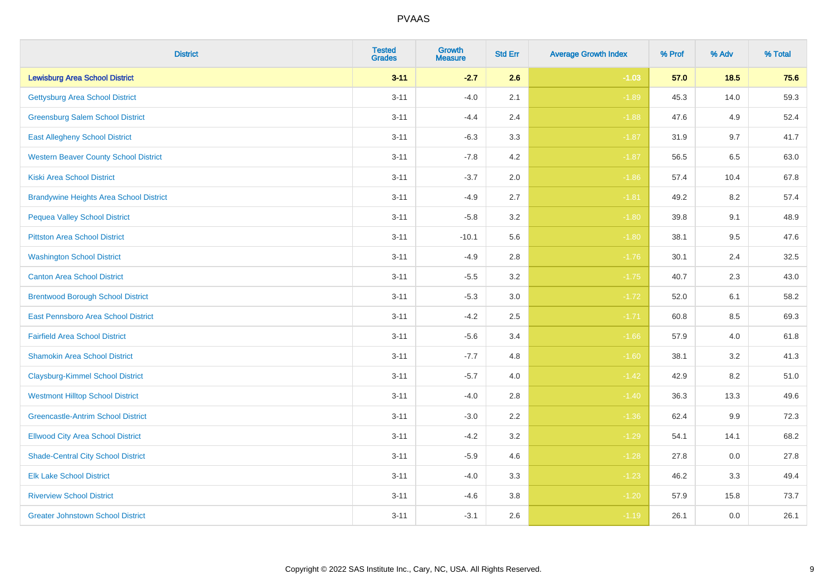| <b>District</b>                                | <b>Tested</b><br><b>Grades</b> | Growth<br><b>Measure</b> | <b>Std Err</b> | <b>Average Growth Index</b> | % Prof | % Adv   | % Total |
|------------------------------------------------|--------------------------------|--------------------------|----------------|-----------------------------|--------|---------|---------|
| <b>Lewisburg Area School District</b>          | $3 - 11$                       | $-2.7$                   | 2.6            | $-1.03$                     | 57.0   | 18.5    | 75.6    |
| <b>Gettysburg Area School District</b>         | $3 - 11$                       | $-4.0$                   | 2.1            | $-1.89$                     | 45.3   | 14.0    | 59.3    |
| <b>Greensburg Salem School District</b>        | $3 - 11$                       | $-4.4$                   | 2.4            | $-1.88$                     | 47.6   | 4.9     | 52.4    |
| <b>East Allegheny School District</b>          | $3 - 11$                       | $-6.3$                   | 3.3            | $-1.87$                     | 31.9   | 9.7     | 41.7    |
| <b>Western Beaver County School District</b>   | $3 - 11$                       | $-7.8$                   | 4.2            | $-1.87$                     | 56.5   | 6.5     | 63.0    |
| <b>Kiski Area School District</b>              | $3 - 11$                       | $-3.7$                   | 2.0            | $-1.86$                     | 57.4   | 10.4    | 67.8    |
| <b>Brandywine Heights Area School District</b> | $3 - 11$                       | $-4.9$                   | 2.7            | $-1.81$                     | 49.2   | 8.2     | 57.4    |
| <b>Pequea Valley School District</b>           | $3 - 11$                       | $-5.8$                   | 3.2            | $-1.80$                     | 39.8   | 9.1     | 48.9    |
| <b>Pittston Area School District</b>           | $3 - 11$                       | $-10.1$                  | 5.6            | $-1.80$                     | 38.1   | 9.5     | 47.6    |
| <b>Washington School District</b>              | $3 - 11$                       | $-4.9$                   | 2.8            | $-1.76$                     | 30.1   | 2.4     | 32.5    |
| <b>Canton Area School District</b>             | $3 - 11$                       | $-5.5$                   | 3.2            | $-1.75$                     | 40.7   | 2.3     | 43.0    |
| <b>Brentwood Borough School District</b>       | $3 - 11$                       | $-5.3$                   | 3.0            | $-1.72$                     | 52.0   | 6.1     | 58.2    |
| East Pennsboro Area School District            | $3 - 11$                       | $-4.2$                   | 2.5            | $-1.71$                     | 60.8   | 8.5     | 69.3    |
| <b>Fairfield Area School District</b>          | $3 - 11$                       | $-5.6$                   | 3.4            | $-1.66$                     | 57.9   | $4.0\,$ | 61.8    |
| <b>Shamokin Area School District</b>           | $3 - 11$                       | $-7.7$                   | 4.8            | $-1.60$                     | 38.1   | 3.2     | 41.3    |
| <b>Claysburg-Kimmel School District</b>        | $3 - 11$                       | $-5.7$                   | 4.0            | $-1.42$                     | 42.9   | 8.2     | 51.0    |
| <b>Westmont Hilltop School District</b>        | $3 - 11$                       | $-4.0$                   | 2.8            | $-1.40$                     | 36.3   | 13.3    | 49.6    |
| <b>Greencastle-Antrim School District</b>      | $3 - 11$                       | $-3.0$                   | 2.2            | $-1.36$                     | 62.4   | 9.9     | 72.3    |
| <b>Ellwood City Area School District</b>       | $3 - 11$                       | $-4.2$                   | 3.2            | $-1.29$                     | 54.1   | 14.1    | 68.2    |
| <b>Shade-Central City School District</b>      | $3 - 11$                       | $-5.9$                   | 4.6            | $-1.28$                     | 27.8   | $0.0\,$ | 27.8    |
| <b>Elk Lake School District</b>                | $3 - 11$                       | $-4.0$                   | 3.3            | $-1.23$                     | 46.2   | 3.3     | 49.4    |
| <b>Riverview School District</b>               | $3 - 11$                       | $-4.6$                   | 3.8            | $-1.20$                     | 57.9   | 15.8    | 73.7    |
| <b>Greater Johnstown School District</b>       | $3 - 11$                       | $-3.1$                   | 2.6            | $-1.19$                     | 26.1   | 0.0     | 26.1    |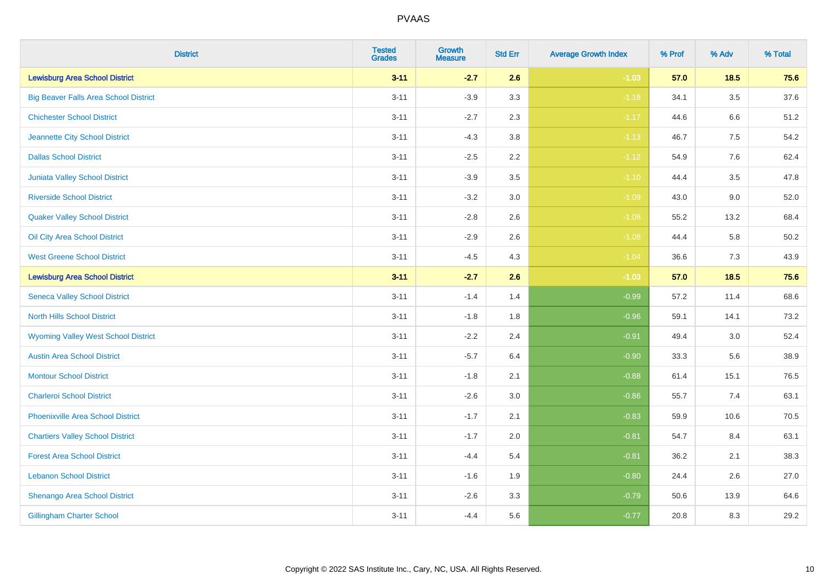| <b>District</b>                              | <b>Tested</b><br><b>Grades</b> | <b>Growth</b><br><b>Measure</b> | <b>Std Err</b> | <b>Average Growth Index</b> | % Prof | % Adv   | % Total  |
|----------------------------------------------|--------------------------------|---------------------------------|----------------|-----------------------------|--------|---------|----------|
| <b>Lewisburg Area School District</b>        | $3 - 11$                       | $-2.7$                          | 2.6            | $-1.03$                     | 57.0   | 18.5    | 75.6     |
| <b>Big Beaver Falls Area School District</b> | $3 - 11$                       | $-3.9$                          | 3.3            | $-1.18$                     | 34.1   | $3.5\,$ | 37.6     |
| <b>Chichester School District</b>            | $3 - 11$                       | $-2.7$                          | 2.3            | $-1.17$                     | 44.6   | $6.6\,$ | 51.2     |
| Jeannette City School District               | $3 - 11$                       | $-4.3$                          | 3.8            | $-1.13$                     | 46.7   | 7.5     | 54.2     |
| <b>Dallas School District</b>                | $3 - 11$                       | $-2.5$                          | 2.2            | $-1.12$                     | 54.9   | 7.6     | 62.4     |
| Juniata Valley School District               | $3 - 11$                       | $-3.9$                          | 3.5            | $-1.10$                     | 44.4   | 3.5     | 47.8     |
| <b>Riverside School District</b>             | $3 - 11$                       | $-3.2$                          | 3.0            | $-1.09$                     | 43.0   | 9.0     | 52.0     |
| <b>Quaker Valley School District</b>         | $3 - 11$                       | $-2.8$                          | 2.6            | $-1.08$                     | 55.2   | 13.2    | 68.4     |
| Oil City Area School District                | $3 - 11$                       | $-2.9$                          | 2.6            | $-1.08$                     | 44.4   | 5.8     | $50.2\,$ |
| <b>West Greene School District</b>           | $3 - 11$                       | $-4.5$                          | 4.3            | $-1.04$                     | 36.6   | 7.3     | 43.9     |
| <b>Lewisburg Area School District</b>        | $3 - 11$                       | $-2.7$                          | 2.6            | $-1.03$                     | 57.0   | $18.5$  | 75.6     |
| <b>Seneca Valley School District</b>         | $3 - 11$                       | $-1.4$                          | 1.4            | $-0.99$                     | 57.2   | 11.4    | 68.6     |
| <b>North Hills School District</b>           | $3 - 11$                       | $-1.8$                          | 1.8            | $-0.96$                     | 59.1   | 14.1    | 73.2     |
| <b>Wyoming Valley West School District</b>   | $3 - 11$                       | $-2.2$                          | 2.4            | $-0.91$                     | 49.4   | 3.0     | 52.4     |
| <b>Austin Area School District</b>           | $3 - 11$                       | $-5.7$                          | 6.4            | $-0.90$                     | 33.3   | 5.6     | 38.9     |
| <b>Montour School District</b>               | $3 - 11$                       | $-1.8$                          | 2.1            | $-0.88$                     | 61.4   | 15.1    | 76.5     |
| <b>Charleroi School District</b>             | $3 - 11$                       | $-2.6$                          | 3.0            | $-0.86$                     | 55.7   | 7.4     | 63.1     |
| <b>Phoenixville Area School District</b>     | $3 - 11$                       | $-1.7$                          | 2.1            | $-0.83$                     | 59.9   | 10.6    | 70.5     |
| <b>Chartiers Valley School District</b>      | $3 - 11$                       | $-1.7$                          | 2.0            | $-0.81$                     | 54.7   | 8.4     | 63.1     |
| <b>Forest Area School District</b>           | $3 - 11$                       | $-4.4$                          | 5.4            | $-0.81$                     | 36.2   | 2.1     | 38.3     |
| <b>Lebanon School District</b>               | $3 - 11$                       | $-1.6$                          | 1.9            | $-0.80$                     | 24.4   | 2.6     | 27.0     |
| Shenango Area School District                | $3 - 11$                       | $-2.6$                          | 3.3            | $-0.79$                     | 50.6   | 13.9    | 64.6     |
| <b>Gillingham Charter School</b>             | $3 - 11$                       | $-4.4$                          | 5.6            | $-0.77$                     | 20.8   | 8.3     | 29.2     |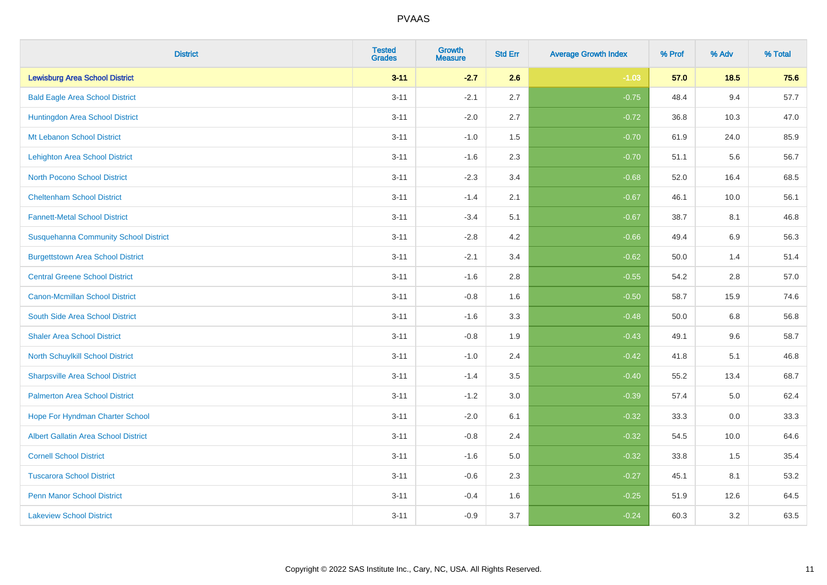| <b>District</b>                              | <b>Tested</b><br><b>Grades</b> | <b>Growth</b><br><b>Measure</b> | <b>Std Err</b> | <b>Average Growth Index</b> | % Prof | % Adv   | % Total |
|----------------------------------------------|--------------------------------|---------------------------------|----------------|-----------------------------|--------|---------|---------|
| <b>Lewisburg Area School District</b>        | $3 - 11$                       | $-2.7$                          | 2.6            | $-1.03$                     | 57.0   | 18.5    | 75.6    |
| <b>Bald Eagle Area School District</b>       | $3 - 11$                       | $-2.1$                          | 2.7            | $-0.75$                     | 48.4   | 9.4     | 57.7    |
| Huntingdon Area School District              | $3 - 11$                       | $-2.0$                          | 2.7            | $-0.72$                     | 36.8   | 10.3    | 47.0    |
| Mt Lebanon School District                   | $3 - 11$                       | $-1.0$                          | 1.5            | $-0.70$                     | 61.9   | 24.0    | 85.9    |
| <b>Lehighton Area School District</b>        | $3 - 11$                       | $-1.6$                          | 2.3            | $-0.70$                     | 51.1   | 5.6     | 56.7    |
| <b>North Pocono School District</b>          | $3 - 11$                       | $-2.3$                          | 3.4            | $-0.68$                     | 52.0   | 16.4    | 68.5    |
| <b>Cheltenham School District</b>            | $3 - 11$                       | $-1.4$                          | 2.1            | $-0.67$                     | 46.1   | 10.0    | 56.1    |
| <b>Fannett-Metal School District</b>         | $3 - 11$                       | $-3.4$                          | 5.1            | $-0.67$                     | 38.7   | 8.1     | 46.8    |
| <b>Susquehanna Community School District</b> | $3 - 11$                       | $-2.8$                          | 4.2            | $-0.66$                     | 49.4   | 6.9     | 56.3    |
| <b>Burgettstown Area School District</b>     | $3 - 11$                       | $-2.1$                          | 3.4            | $-0.62$                     | 50.0   | 1.4     | 51.4    |
| <b>Central Greene School District</b>        | $3 - 11$                       | $-1.6$                          | 2.8            | $-0.55$                     | 54.2   | 2.8     | 57.0    |
| <b>Canon-Mcmillan School District</b>        | $3 - 11$                       | $-0.8$                          | 1.6            | $-0.50$                     | 58.7   | 15.9    | 74.6    |
| South Side Area School District              | $3 - 11$                       | $-1.6$                          | 3.3            | $-0.48$                     | 50.0   | $6.8\,$ | 56.8    |
| <b>Shaler Area School District</b>           | $3 - 11$                       | $-0.8$                          | 1.9            | $-0.43$                     | 49.1   | 9.6     | 58.7    |
| North Schuylkill School District             | $3 - 11$                       | $-1.0$                          | 2.4            | $-0.42$                     | 41.8   | 5.1     | 46.8    |
| <b>Sharpsville Area School District</b>      | $3 - 11$                       | $-1.4$                          | 3.5            | $-0.40$                     | 55.2   | 13.4    | 68.7    |
| <b>Palmerton Area School District</b>        | $3 - 11$                       | $-1.2$                          | 3.0            | $-0.39$                     | 57.4   | 5.0     | 62.4    |
| Hope For Hyndman Charter School              | $3 - 11$                       | $-2.0$                          | 6.1            | $-0.32$                     | 33.3   | 0.0     | 33.3    |
| <b>Albert Gallatin Area School District</b>  | $3 - 11$                       | $-0.8$                          | 2.4            | $-0.32$                     | 54.5   | 10.0    | 64.6    |
| <b>Cornell School District</b>               | $3 - 11$                       | $-1.6$                          | 5.0            | $-0.32$                     | 33.8   | 1.5     | 35.4    |
| <b>Tuscarora School District</b>             | $3 - 11$                       | $-0.6$                          | 2.3            | $-0.27$                     | 45.1   | 8.1     | 53.2    |
| <b>Penn Manor School District</b>            | $3 - 11$                       | $-0.4$                          | 1.6            | $-0.25$                     | 51.9   | 12.6    | 64.5    |
| <b>Lakeview School District</b>              | $3 - 11$                       | $-0.9$                          | 3.7            | $-0.24$                     | 60.3   | 3.2     | 63.5    |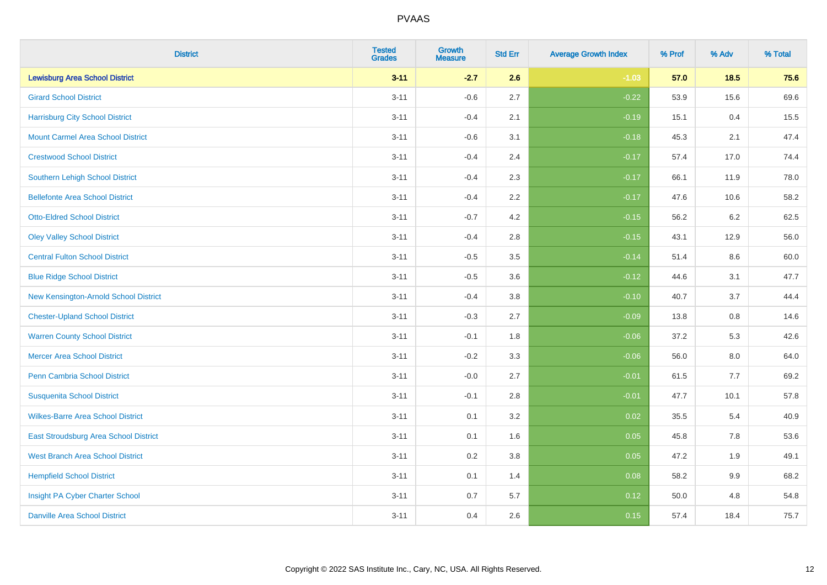| <b>District</b>                          | <b>Tested</b><br><b>Grades</b> | <b>Growth</b><br><b>Measure</b> | <b>Std Err</b> | <b>Average Growth Index</b> | % Prof | % Adv   | % Total |
|------------------------------------------|--------------------------------|---------------------------------|----------------|-----------------------------|--------|---------|---------|
| <b>Lewisburg Area School District</b>    | $3 - 11$                       | $-2.7$                          | 2.6            | $-1.03$                     | 57.0   | 18.5    | 75.6    |
| <b>Girard School District</b>            | $3 - 11$                       | $-0.6$                          | 2.7            | $-0.22$                     | 53.9   | 15.6    | 69.6    |
| <b>Harrisburg City School District</b>   | $3 - 11$                       | $-0.4$                          | 2.1            | $-0.19$                     | 15.1   | 0.4     | 15.5    |
| <b>Mount Carmel Area School District</b> | $3 - 11$                       | $-0.6$                          | 3.1            | $-0.18$                     | 45.3   | 2.1     | 47.4    |
| <b>Crestwood School District</b>         | $3 - 11$                       | $-0.4$                          | 2.4            | $-0.17$                     | 57.4   | 17.0    | 74.4    |
| <b>Southern Lehigh School District</b>   | $3 - 11$                       | $-0.4$                          | 2.3            | $-0.17$                     | 66.1   | 11.9    | 78.0    |
| <b>Bellefonte Area School District</b>   | $3 - 11$                       | $-0.4$                          | 2.2            | $-0.17$                     | 47.6   | 10.6    | 58.2    |
| <b>Otto-Eldred School District</b>       | $3 - 11$                       | $-0.7$                          | 4.2            | $-0.15$                     | 56.2   | 6.2     | 62.5    |
| <b>Oley Valley School District</b>       | $3 - 11$                       | $-0.4$                          | 2.8            | $-0.15$                     | 43.1   | 12.9    | 56.0    |
| <b>Central Fulton School District</b>    | $3 - 11$                       | $-0.5$                          | 3.5            | $-0.14$                     | 51.4   | 8.6     | 60.0    |
| <b>Blue Ridge School District</b>        | $3 - 11$                       | $-0.5$                          | 3.6            | $-0.12$                     | 44.6   | 3.1     | 47.7    |
| New Kensington-Arnold School District    | $3 - 11$                       | $-0.4$                          | 3.8            | $-0.10$                     | 40.7   | 3.7     | 44.4    |
| <b>Chester-Upland School District</b>    | $3 - 11$                       | $-0.3$                          | 2.7            | $-0.09$                     | 13.8   | $0.8\,$ | 14.6    |
| <b>Warren County School District</b>     | $3 - 11$                       | $-0.1$                          | 1.8            | $-0.06$                     | 37.2   | 5.3     | 42.6    |
| <b>Mercer Area School District</b>       | $3 - 11$                       | $-0.2$                          | 3.3            | $-0.06$                     | 56.0   | $8.0\,$ | 64.0    |
| Penn Cambria School District             | $3 - 11$                       | $-0.0$                          | 2.7            | $-0.01$                     | 61.5   | 7.7     | 69.2    |
| <b>Susquenita School District</b>        | $3 - 11$                       | $-0.1$                          | 2.8            | $-0.01$                     | 47.7   | 10.1    | 57.8    |
| <b>Wilkes-Barre Area School District</b> | $3 - 11$                       | 0.1                             | 3.2            | 0.02                        | 35.5   | 5.4     | 40.9    |
| East Stroudsburg Area School District    | $3 - 11$                       | 0.1                             | 1.6            | 0.05                        | 45.8   | 7.8     | 53.6    |
| <b>West Branch Area School District</b>  | $3 - 11$                       | 0.2                             | 3.8            | 0.05                        | 47.2   | 1.9     | 49.1    |
| <b>Hempfield School District</b>         | $3 - 11$                       | 0.1                             | 1.4            | 0.08                        | 58.2   | 9.9     | 68.2    |
| Insight PA Cyber Charter School          | $3 - 11$                       | 0.7                             | 5.7            | 0.12                        | 50.0   | 4.8     | 54.8    |
| <b>Danville Area School District</b>     | $3 - 11$                       | 0.4                             | 2.6            | 0.15                        | 57.4   | 18.4    | 75.7    |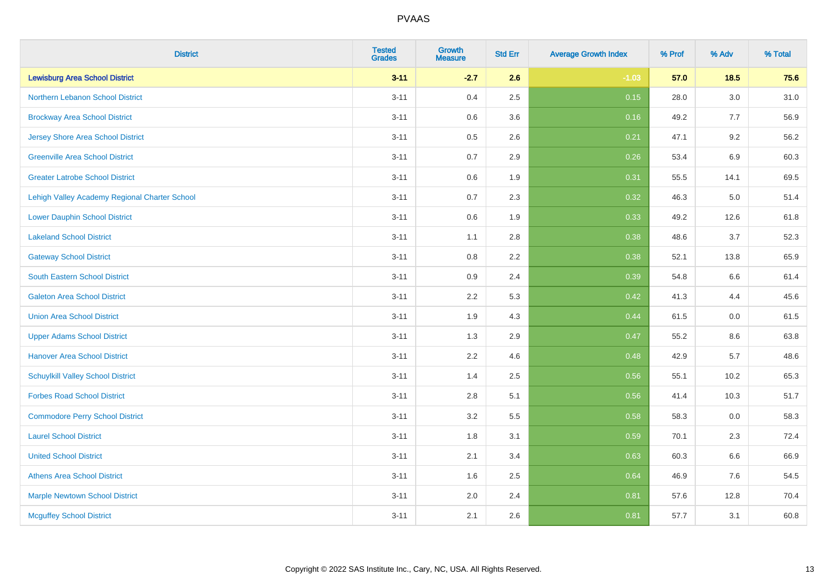| <b>District</b>                               | <b>Tested</b><br><b>Grades</b> | Growth<br><b>Measure</b> | <b>Std Err</b> | <b>Average Growth Index</b> | % Prof | % Adv | % Total |
|-----------------------------------------------|--------------------------------|--------------------------|----------------|-----------------------------|--------|-------|---------|
| <b>Lewisburg Area School District</b>         | $3 - 11$                       | $-2.7$                   | 2.6            | $-1.03$                     | 57.0   | 18.5  | 75.6    |
| Northern Lebanon School District              | $3 - 11$                       | 0.4                      | 2.5            | 0.15                        | 28.0   | 3.0   | 31.0    |
| <b>Brockway Area School District</b>          | $3 - 11$                       | 0.6                      | 3.6            | 0.16                        | 49.2   | 7.7   | 56.9    |
| Jersey Shore Area School District             | $3 - 11$                       | 0.5                      | 2.6            | 0.21                        | 47.1   | 9.2   | 56.2    |
| <b>Greenville Area School District</b>        | $3 - 11$                       | 0.7                      | 2.9            | 0.26                        | 53.4   | 6.9   | 60.3    |
| <b>Greater Latrobe School District</b>        | $3 - 11$                       | $0.6\,$                  | 1.9            | 0.31                        | 55.5   | 14.1  | 69.5    |
| Lehigh Valley Academy Regional Charter School | $3 - 11$                       | 0.7                      | 2.3            | 0.32                        | 46.3   | 5.0   | 51.4    |
| <b>Lower Dauphin School District</b>          | $3 - 11$                       | 0.6                      | 1.9            | 0.33                        | 49.2   | 12.6  | 61.8    |
| <b>Lakeland School District</b>               | $3 - 11$                       | 1.1                      | 2.8            | 0.38                        | 48.6   | 3.7   | 52.3    |
| <b>Gateway School District</b>                | $3 - 11$                       | 0.8                      | 2.2            | 0.38                        | 52.1   | 13.8  | 65.9    |
| <b>South Eastern School District</b>          | $3 - 11$                       | 0.9                      | 2.4            | 0.39                        | 54.8   | 6.6   | 61.4    |
| <b>Galeton Area School District</b>           | $3 - 11$                       | 2.2                      | 5.3            | 0.42                        | 41.3   | 4.4   | 45.6    |
| <b>Union Area School District</b>             | $3 - 11$                       | 1.9                      | 4.3            | 0.44                        | 61.5   | 0.0   | 61.5    |
| <b>Upper Adams School District</b>            | $3 - 11$                       | 1.3                      | 2.9            | 0.47                        | 55.2   | 8.6   | 63.8    |
| <b>Hanover Area School District</b>           | $3 - 11$                       | 2.2                      | 4.6            | 0.48                        | 42.9   | 5.7   | 48.6    |
| <b>Schuylkill Valley School District</b>      | $3 - 11$                       | 1.4                      | 2.5            | 0.56                        | 55.1   | 10.2  | 65.3    |
| <b>Forbes Road School District</b>            | $3 - 11$                       | 2.8                      | 5.1            | 0.56                        | 41.4   | 10.3  | 51.7    |
| <b>Commodore Perry School District</b>        | $3 - 11$                       | 3.2                      | 5.5            | 0.58                        | 58.3   | 0.0   | 58.3    |
| <b>Laurel School District</b>                 | $3 - 11$                       | 1.8                      | 3.1            | 0.59                        | 70.1   | 2.3   | 72.4    |
| <b>United School District</b>                 | $3 - 11$                       | 2.1                      | 3.4            | 0.63                        | 60.3   | 6.6   | 66.9    |
| <b>Athens Area School District</b>            | $3 - 11$                       | 1.6                      | 2.5            | 0.64                        | 46.9   | 7.6   | 54.5    |
| <b>Marple Newtown School District</b>         | $3 - 11$                       | 2.0                      | 2.4            | 0.81                        | 57.6   | 12.8  | 70.4    |
| <b>Mcguffey School District</b>               | $3 - 11$                       | 2.1                      | 2.6            | 0.81                        | 57.7   | 3.1   | 60.8    |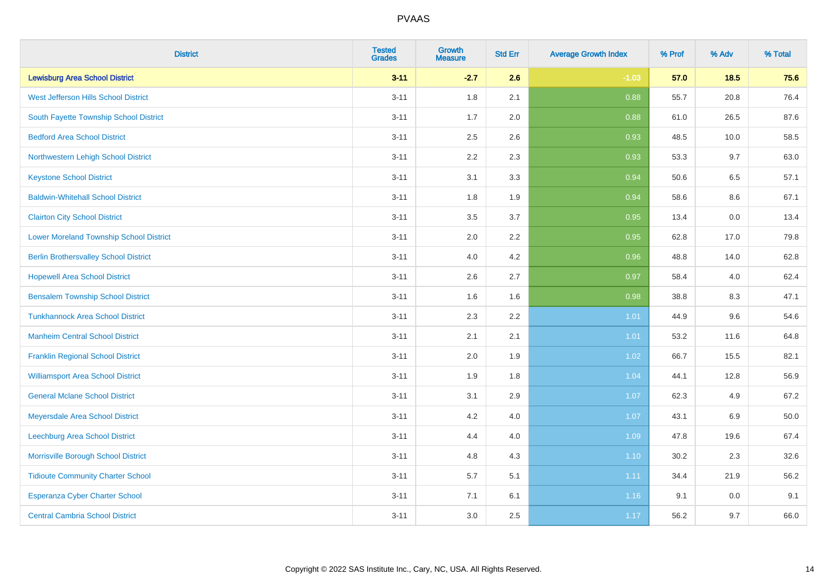| <b>District</b>                                | <b>Tested</b><br><b>Grades</b> | <b>Growth</b><br><b>Measure</b> | <b>Std Err</b> | <b>Average Growth Index</b> | % Prof | % Adv   | % Total  |
|------------------------------------------------|--------------------------------|---------------------------------|----------------|-----------------------------|--------|---------|----------|
| <b>Lewisburg Area School District</b>          | $3 - 11$                       | $-2.7$                          | 2.6            | $-1.03$                     | 57.0   | 18.5    | 75.6     |
| West Jefferson Hills School District           | $3 - 11$                       | 1.8                             | 2.1            | 0.88                        | 55.7   | 20.8    | 76.4     |
| South Fayette Township School District         | $3 - 11$                       | 1.7                             | 2.0            | 0.88                        | 61.0   | 26.5    | 87.6     |
| <b>Bedford Area School District</b>            | $3 - 11$                       | 2.5                             | 2.6            | 0.93                        | 48.5   | 10.0    | 58.5     |
| Northwestern Lehigh School District            | $3 - 11$                       | 2.2                             | 2.3            | 0.93                        | 53.3   | 9.7     | 63.0     |
| <b>Keystone School District</b>                | $3 - 11$                       | 3.1                             | 3.3            | 0.94                        | 50.6   | 6.5     | 57.1     |
| <b>Baldwin-Whitehall School District</b>       | $3 - 11$                       | 1.8                             | 1.9            | 0.94                        | 58.6   | $8.6\,$ | 67.1     |
| <b>Clairton City School District</b>           | $3 - 11$                       | 3.5                             | 3.7            | 0.95                        | 13.4   | 0.0     | 13.4     |
| <b>Lower Moreland Township School District</b> | $3 - 11$                       | 2.0                             | 2.2            | 0.95                        | 62.8   | 17.0    | 79.8     |
| <b>Berlin Brothersvalley School District</b>   | $3 - 11$                       | 4.0                             | 4.2            | 0.96                        | 48.8   | 14.0    | 62.8     |
| <b>Hopewell Area School District</b>           | $3 - 11$                       | 2.6                             | 2.7            | 0.97                        | 58.4   | 4.0     | 62.4     |
| <b>Bensalem Township School District</b>       | $3 - 11$                       | 1.6                             | 1.6            | 0.98                        | 38.8   | 8.3     | 47.1     |
| <b>Tunkhannock Area School District</b>        | $3 - 11$                       | 2.3                             | 2.2            | 1.01                        | 44.9   | 9.6     | 54.6     |
| <b>Manheim Central School District</b>         | $3 - 11$                       | 2.1                             | 2.1            | 1.01                        | 53.2   | 11.6    | 64.8     |
| <b>Franklin Regional School District</b>       | $3 - 11$                       | 2.0                             | 1.9            | 1.02                        | 66.7   | 15.5    | 82.1     |
| <b>Williamsport Area School District</b>       | $3 - 11$                       | 1.9                             | 1.8            | 1.04                        | 44.1   | 12.8    | 56.9     |
| <b>General Mclane School District</b>          | $3 - 11$                       | 3.1                             | 2.9            | 1.07                        | 62.3   | 4.9     | 67.2     |
| Meyersdale Area School District                | $3 - 11$                       | 4.2                             | 4.0            | 1.07                        | 43.1   | 6.9     | $50.0\,$ |
| Leechburg Area School District                 | $3 - 11$                       | 4.4                             | 4.0            | 1.09                        | 47.8   | 19.6    | 67.4     |
| Morrisville Borough School District            | $3 - 11$                       | 4.8                             | 4.3            | 1.10                        | 30.2   | 2.3     | 32.6     |
| <b>Tidioute Community Charter School</b>       | $3 - 11$                       | 5.7                             | 5.1            | 1.11                        | 34.4   | 21.9    | 56.2     |
| Esperanza Cyber Charter School                 | $3 - 11$                       | 7.1                             | 6.1            | 1.16                        | 9.1    | 0.0     | 9.1      |
| <b>Central Cambria School District</b>         | $3 - 11$                       | 3.0                             | 2.5            | 1.17                        | 56.2   | 9.7     | 66.0     |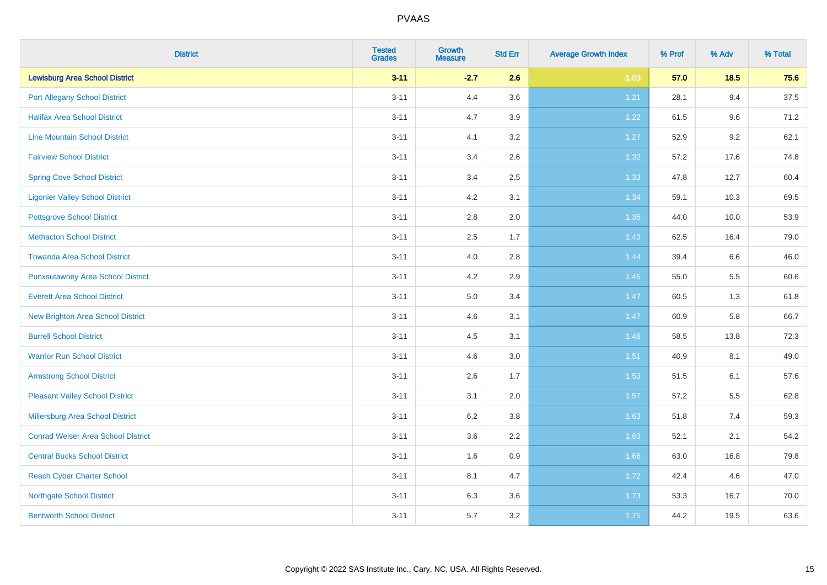| <b>District</b>                           | <b>Tested</b><br><b>Grades</b> | <b>Growth</b><br><b>Measure</b> | <b>Std Err</b> | <b>Average Growth Index</b> | % Prof | % Adv | % Total |
|-------------------------------------------|--------------------------------|---------------------------------|----------------|-----------------------------|--------|-------|---------|
| <b>Lewisburg Area School District</b>     | $3 - 11$                       | $-2.7$                          | 2.6            | $-1.03$                     | 57.0   | 18.5  | 75.6    |
| <b>Port Allegany School District</b>      | $3 - 11$                       | 4.4                             | 3.6            | 1.21                        | 28.1   | 9.4   | 37.5    |
| <b>Halifax Area School District</b>       | $3 - 11$                       | 4.7                             | 3.9            | 1.22                        | 61.5   | 9.6   | 71.2    |
| <b>Line Mountain School District</b>      | $3 - 11$                       | 4.1                             | 3.2            | 1.27                        | 52.9   | 9.2   | 62.1    |
| <b>Fairview School District</b>           | $3 - 11$                       | 3.4                             | 2.6            | 1.32                        | 57.2   | 17.6  | 74.8    |
| <b>Spring Cove School District</b>        | $3 - 11$                       | 3.4                             | 2.5            | 1.33                        | 47.8   | 12.7  | 60.4    |
| <b>Ligonier Valley School District</b>    | $3 - 11$                       | 4.2                             | 3.1            | 1.34                        | 59.1   | 10.3  | 69.5    |
| <b>Pottsgrove School District</b>         | $3 - 11$                       | $2.8\,$                         | 2.0            | 1.35                        | 44.0   | 10.0  | 53.9    |
| <b>Methacton School District</b>          | $3 - 11$                       | 2.5                             | 1.7            | 1.43                        | 62.5   | 16.4  | 79.0    |
| <b>Towanda Area School District</b>       | $3 - 11$                       | 4.0                             | 2.8            | 1.44                        | 39.4   | 6.6   | 46.0    |
| <b>Punxsutawney Area School District</b>  | $3 - 11$                       | 4.2                             | 2.9            | 1.45                        | 55.0   | 5.5   | 60.6    |
| <b>Everett Area School District</b>       | $3 - 11$                       | 5.0                             | 3.4            | 1.47                        | 60.5   | 1.3   | 61.8    |
| New Brighton Area School District         | $3 - 11$                       | 4.6                             | 3.1            | 1.47                        | 60.9   | 5.8   | 66.7    |
| <b>Burrell School District</b>            | $3 - 11$                       | 4.5                             | 3.1            | 1.48                        | 58.5   | 13.8  | 72.3    |
| <b>Warrior Run School District</b>        | $3 - 11$                       | 4.6                             | 3.0            | 1.51                        | 40.9   | 8.1   | 49.0    |
| <b>Armstrong School District</b>          | $3 - 11$                       | 2.6                             | 1.7            | 1.53                        | 51.5   | 6.1   | 57.6    |
| <b>Pleasant Valley School District</b>    | $3 - 11$                       | 3.1                             | 2.0            | 1.57                        | 57.2   | 5.5   | 62.8    |
| Millersburg Area School District          | $3 - 11$                       | 6.2                             | 3.8            | 1.63                        | 51.8   | 7.4   | 59.3    |
| <b>Conrad Weiser Area School District</b> | $3 - 11$                       | 3.6                             | 2.2            | 1.63                        | 52.1   | 2.1   | 54.2    |
| <b>Central Bucks School District</b>      | $3 - 11$                       | 1.6                             | 0.9            | 1.66                        | 63.0   | 16.8  | 79.8    |
| <b>Reach Cyber Charter School</b>         | $3 - 11$                       | 8.1                             | 4.7            | 1.72                        | 42.4   | 4.6   | 47.0    |
| <b>Northgate School District</b>          | $3 - 11$                       | 6.3                             | 3.6            | 1.73                        | 53.3   | 16.7  | 70.0    |
| <b>Bentworth School District</b>          | $3 - 11$                       | 5.7                             | 3.2            | 1.75                        | 44.2   | 19.5  | 63.6    |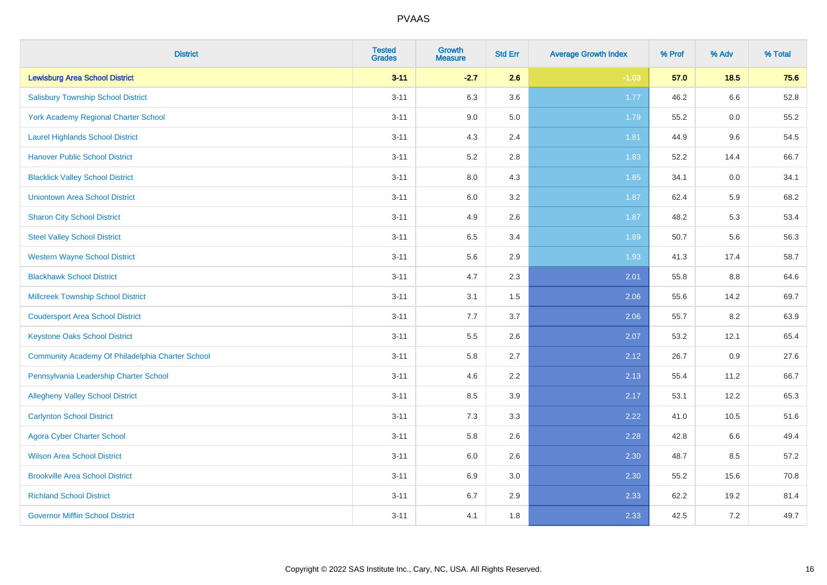| <b>District</b>                                  | <b>Tested</b><br><b>Grades</b> | <b>Growth</b><br><b>Measure</b> | <b>Std Err</b> | <b>Average Growth Index</b> | % Prof | % Adv   | % Total |
|--------------------------------------------------|--------------------------------|---------------------------------|----------------|-----------------------------|--------|---------|---------|
| <b>Lewisburg Area School District</b>            | $3 - 11$                       | $-2.7$                          | 2.6            | $-1.03$                     | 57.0   | $18.5$  | 75.6    |
| <b>Salisbury Township School District</b>        | $3 - 11$                       | 6.3                             | 3.6            | $1.77$                      | 46.2   | 6.6     | 52.8    |
| <b>York Academy Regional Charter School</b>      | $3 - 11$                       | 9.0                             | 5.0            | 1.79                        | 55.2   | 0.0     | 55.2    |
| <b>Laurel Highlands School District</b>          | $3 - 11$                       | 4.3                             | 2.4            | 1.81                        | 44.9   | 9.6     | 54.5    |
| <b>Hanover Public School District</b>            | $3 - 11$                       | 5.2                             | 2.8            | 1.83                        | 52.2   | 14.4    | 66.7    |
| <b>Blacklick Valley School District</b>          | $3 - 11$                       | 8.0                             | 4.3            | 1.85                        | 34.1   | $0.0\,$ | 34.1    |
| <b>Uniontown Area School District</b>            | $3 - 11$                       | $6.0\,$                         | 3.2            | 1.87                        | 62.4   | 5.9     | 68.2    |
| <b>Sharon City School District</b>               | $3 - 11$                       | 4.9                             | 2.6            | 1.87                        | 48.2   | 5.3     | 53.4    |
| <b>Steel Valley School District</b>              | $3 - 11$                       | 6.5                             | 3.4            | 1.89                        | 50.7   | 5.6     | 56.3    |
| <b>Western Wayne School District</b>             | $3 - 11$                       | 5.6                             | 2.9            | 1.93                        | 41.3   | 17.4    | 58.7    |
| <b>Blackhawk School District</b>                 | $3 - 11$                       | 4.7                             | 2.3            | 2.01                        | 55.8   | 8.8     | 64.6    |
| <b>Millcreek Township School District</b>        | $3 - 11$                       | 3.1                             | 1.5            | 2.06                        | 55.6   | 14.2    | 69.7    |
| <b>Coudersport Area School District</b>          | $3 - 11$                       | 7.7                             | 3.7            | 2.06                        | 55.7   | 8.2     | 63.9    |
| <b>Keystone Oaks School District</b>             | $3 - 11$                       | $5.5\,$                         | 2.6            | 2.07                        | 53.2   | 12.1    | 65.4    |
| Community Academy Of Philadelphia Charter School | $3 - 11$                       | 5.8                             | 2.7            | 2.12                        | 26.7   | 0.9     | 27.6    |
| Pennsylvania Leadership Charter School           | $3 - 11$                       | 4.6                             | 2.2            | 2.13                        | 55.4   | 11.2    | 66.7    |
| <b>Allegheny Valley School District</b>          | $3 - 11$                       | 8.5                             | 3.9            | 2.17                        | 53.1   | 12.2    | 65.3    |
| <b>Carlynton School District</b>                 | $3 - 11$                       | 7.3                             | 3.3            | 2.22                        | 41.0   | 10.5    | 51.6    |
| <b>Agora Cyber Charter School</b>                | $3 - 11$                       | 5.8                             | 2.6            | 2.28                        | 42.8   | 6.6     | 49.4    |
| <b>Wilson Area School District</b>               | $3 - 11$                       | 6.0                             | 2.6            | 2.30                        | 48.7   | 8.5     | 57.2    |
| <b>Brookville Area School District</b>           | $3 - 11$                       | 6.9                             | 3.0            | 2.30                        | 55.2   | 15.6    | 70.8    |
| <b>Richland School District</b>                  | $3 - 11$                       | 6.7                             | 2.9            | 2.33                        | 62.2   | 19.2    | 81.4    |
| <b>Governor Mifflin School District</b>          | $3 - 11$                       | 4.1                             | 1.8            | 2.33                        | 42.5   | 7.2     | 49.7    |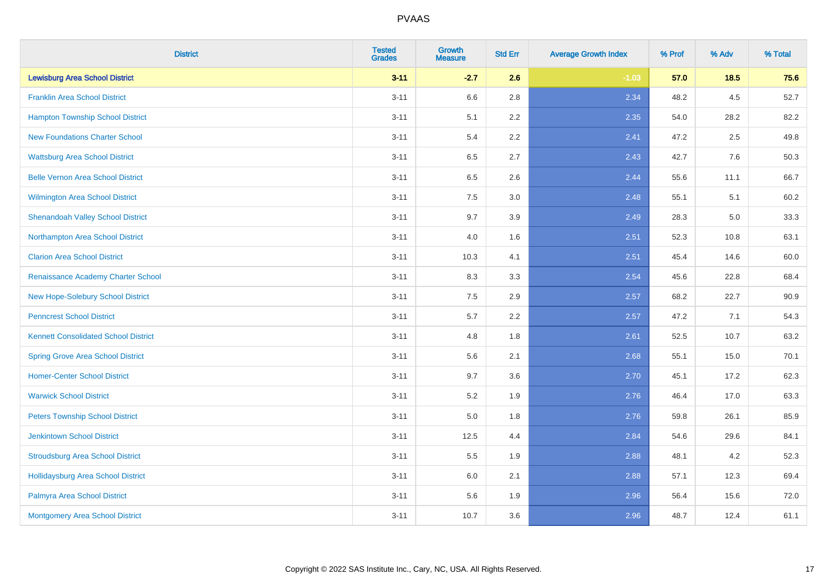| <b>District</b>                             | <b>Tested</b><br><b>Grades</b> | <b>Growth</b><br><b>Measure</b> | <b>Std Err</b> | <b>Average Growth Index</b> | % Prof | % Adv   | % Total |
|---------------------------------------------|--------------------------------|---------------------------------|----------------|-----------------------------|--------|---------|---------|
| <b>Lewisburg Area School District</b>       | $3 - 11$                       | $-2.7$                          | 2.6            | $-1.03$                     | 57.0   | $18.5$  | 75.6    |
| <b>Franklin Area School District</b>        | $3 - 11$                       | 6.6                             | 2.8            | 2.34                        | 48.2   | $4.5\,$ | 52.7    |
| <b>Hampton Township School District</b>     | $3 - 11$                       | 5.1                             | 2.2            | 2.35                        | 54.0   | 28.2    | 82.2    |
| <b>New Foundations Charter School</b>       | $3 - 11$                       | 5.4                             | 2.2            | 2.41                        | 47.2   | 2.5     | 49.8    |
| <b>Wattsburg Area School District</b>       | $3 - 11$                       | 6.5                             | 2.7            | 2.43                        | 42.7   | 7.6     | 50.3    |
| <b>Belle Vernon Area School District</b>    | $3 - 11$                       | 6.5                             | 2.6            | 2.44                        | 55.6   | 11.1    | 66.7    |
| Wilmington Area School District             | $3 - 11$                       | 7.5                             | 3.0            | 2.48                        | 55.1   | 5.1     | 60.2    |
| <b>Shenandoah Valley School District</b>    | $3 - 11$                       | 9.7                             | 3.9            | 2.49                        | 28.3   | 5.0     | 33.3    |
| Northampton Area School District            | $3 - 11$                       | 4.0                             | 1.6            | 2.51                        | 52.3   | 10.8    | 63.1    |
| <b>Clarion Area School District</b>         | $3 - 11$                       | 10.3                            | 4.1            | 2.51                        | 45.4   | 14.6    | 60.0    |
| Renaissance Academy Charter School          | $3 - 11$                       | 8.3                             | 3.3            | 2.54                        | 45.6   | 22.8    | 68.4    |
| New Hope-Solebury School District           | $3 - 11$                       | 7.5                             | 2.9            | 2.57                        | 68.2   | 22.7    | 90.9    |
| <b>Penncrest School District</b>            | $3 - 11$                       | 5.7                             | 2.2            | 2.57                        | 47.2   | 7.1     | 54.3    |
| <b>Kennett Consolidated School District</b> | $3 - 11$                       | 4.8                             | 1.8            | 2.61                        | 52.5   | 10.7    | 63.2    |
| <b>Spring Grove Area School District</b>    | $3 - 11$                       | 5.6                             | 2.1            | 2.68                        | 55.1   | 15.0    | 70.1    |
| <b>Homer-Center School District</b>         | $3 - 11$                       | 9.7                             | 3.6            | 2.70                        | 45.1   | 17.2    | 62.3    |
| <b>Warwick School District</b>              | $3 - 11$                       | 5.2                             | 1.9            | 2.76                        | 46.4   | 17.0    | 63.3    |
| <b>Peters Township School District</b>      | $3 - 11$                       | 5.0                             | 1.8            | 2.76                        | 59.8   | 26.1    | 85.9    |
| <b>Jenkintown School District</b>           | $3 - 11$                       | 12.5                            | 4.4            | 2.84                        | 54.6   | 29.6    | 84.1    |
| <b>Stroudsburg Area School District</b>     | $3 - 11$                       | 5.5                             | 1.9            | 2.88                        | 48.1   | 4.2     | 52.3    |
| <b>Hollidaysburg Area School District</b>   | $3 - 11$                       | 6.0                             | 2.1            | 2.88                        | 57.1   | 12.3    | 69.4    |
| Palmyra Area School District                | $3 - 11$                       | 5.6                             | 1.9            | 2.96                        | 56.4   | 15.6    | 72.0    |
| Montgomery Area School District             | $3 - 11$                       | 10.7                            | 3.6            | 2.96                        | 48.7   | 12.4    | 61.1    |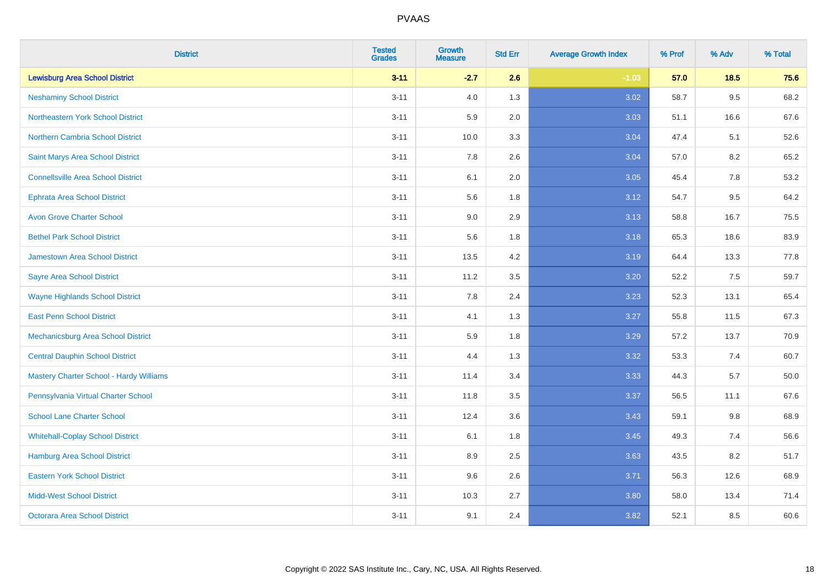| <b>District</b>                                | <b>Tested</b><br><b>Grades</b> | <b>Growth</b><br><b>Measure</b> | <b>Std Err</b> | <b>Average Growth Index</b> | % Prof | % Adv   | % Total |
|------------------------------------------------|--------------------------------|---------------------------------|----------------|-----------------------------|--------|---------|---------|
| <b>Lewisburg Area School District</b>          | $3 - 11$                       | $-2.7$                          | 2.6            | $-1.03$                     | 57.0   | 18.5    | 75.6    |
| <b>Neshaminy School District</b>               | $3 - 11$                       | 4.0                             | 1.3            | 3.02                        | 58.7   | $9.5\,$ | 68.2    |
| Northeastern York School District              | $3 - 11$                       | 5.9                             | 2.0            | 3.03                        | 51.1   | 16.6    | 67.6    |
| <b>Northern Cambria School District</b>        | $3 - 11$                       | 10.0                            | 3.3            | 3.04                        | 47.4   | 5.1     | 52.6    |
| Saint Marys Area School District               | $3 - 11$                       | 7.8                             | 2.6            | 3.04                        | 57.0   | 8.2     | 65.2    |
| <b>Connellsville Area School District</b>      | $3 - 11$                       | 6.1                             | 2.0            | 3.05                        | 45.4   | 7.8     | 53.2    |
| <b>Ephrata Area School District</b>            | $3 - 11$                       | 5.6                             | 1.8            | 3.12                        | 54.7   | 9.5     | 64.2    |
| <b>Avon Grove Charter School</b>               | $3 - 11$                       | 9.0                             | 2.9            | 3.13                        | 58.8   | 16.7    | 75.5    |
| <b>Bethel Park School District</b>             | $3 - 11$                       | 5.6                             | 1.8            | 3.18                        | 65.3   | 18.6    | 83.9    |
| <b>Jamestown Area School District</b>          | $3 - 11$                       | 13.5                            | 4.2            | 3.19                        | 64.4   | 13.3    | 77.8    |
| <b>Sayre Area School District</b>              | $3 - 11$                       | 11.2                            | 3.5            | 3.20                        | 52.2   | 7.5     | 59.7    |
| <b>Wayne Highlands School District</b>         | $3 - 11$                       | 7.8                             | 2.4            | 3.23                        | 52.3   | 13.1    | 65.4    |
| <b>East Penn School District</b>               | $3 - 11$                       | 4.1                             | 1.3            | 3.27                        | 55.8   | 11.5    | 67.3    |
| <b>Mechanicsburg Area School District</b>      | $3 - 11$                       | 5.9                             | 1.8            | 3.29                        | 57.2   | 13.7    | 70.9    |
| <b>Central Dauphin School District</b>         | $3 - 11$                       | 4.4                             | 1.3            | 3.32                        | 53.3   | 7.4     | 60.7    |
| <b>Mastery Charter School - Hardy Williams</b> | $3 - 11$                       | 11.4                            | 3.4            | 3.33                        | 44.3   | 5.7     | 50.0    |
| Pennsylvania Virtual Charter School            | $3 - 11$                       | 11.8                            | 3.5            | 3.37                        | 56.5   | 11.1    | 67.6    |
| <b>School Lane Charter School</b>              | $3 - 11$                       | 12.4                            | 3.6            | 3.43                        | 59.1   | 9.8     | 68.9    |
| <b>Whitehall-Coplay School District</b>        | $3 - 11$                       | 6.1                             | 1.8            | 3.45                        | 49.3   | 7.4     | 56.6    |
| Hamburg Area School District                   | $3 - 11$                       | 8.9                             | 2.5            | 3.63                        | 43.5   | 8.2     | 51.7    |
| <b>Eastern York School District</b>            | $3 - 11$                       | 9.6                             | 2.6            | 3.71                        | 56.3   | 12.6    | 68.9    |
| <b>Midd-West School District</b>               | $3 - 11$                       | 10.3                            | 2.7            | 3.80                        | 58.0   | 13.4    | 71.4    |
| <b>Octorara Area School District</b>           | $3 - 11$                       | 9.1                             | 2.4            | 3.82                        | 52.1   | 8.5     | 60.6    |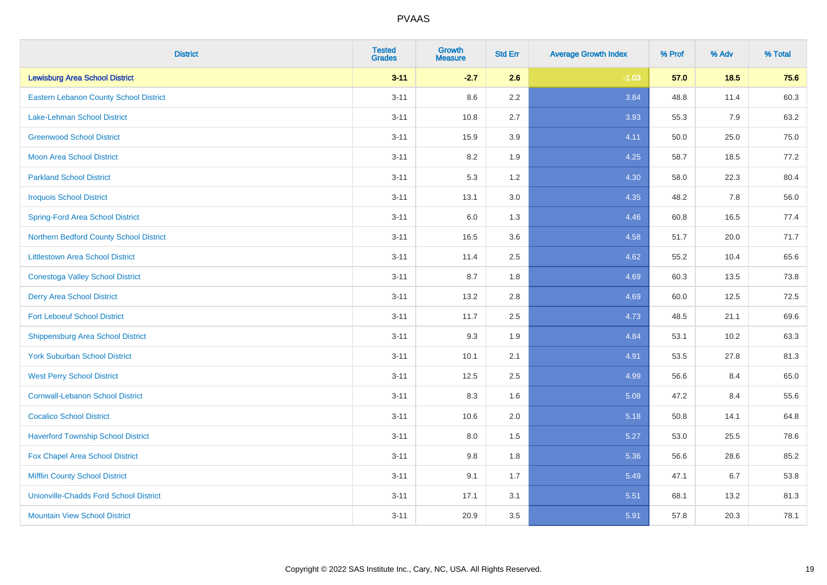| <b>District</b>                               | <b>Tested</b><br><b>Grades</b> | <b>Growth</b><br><b>Measure</b> | <b>Std Err</b> | <b>Average Growth Index</b> | % Prof | % Adv | % Total |
|-----------------------------------------------|--------------------------------|---------------------------------|----------------|-----------------------------|--------|-------|---------|
| <b>Lewisburg Area School District</b>         | $3 - 11$                       | $-2.7$                          | 2.6            | $-1.03$                     | 57.0   | 18.5  | 75.6    |
| <b>Eastern Lebanon County School District</b> | $3 - 11$                       | 8.6                             | $2.2\,$        | 3.84                        | 48.8   | 11.4  | 60.3    |
| <b>Lake-Lehman School District</b>            | $3 - 11$                       | 10.8                            | 2.7            | 3.93                        | 55.3   | 7.9   | 63.2    |
| <b>Greenwood School District</b>              | $3 - 11$                       | 15.9                            | 3.9            | 4.11                        | 50.0   | 25.0  | 75.0    |
| <b>Moon Area School District</b>              | $3 - 11$                       | 8.2                             | 1.9            | 4.25                        | 58.7   | 18.5  | 77.2    |
| <b>Parkland School District</b>               | $3 - 11$                       | 5.3                             | 1.2            | 4.30                        | 58.0   | 22.3  | 80.4    |
| <b>Iroquois School District</b>               | $3 - 11$                       | 13.1                            | 3.0            | 4.35                        | 48.2   | 7.8   | 56.0    |
| <b>Spring-Ford Area School District</b>       | $3 - 11$                       | 6.0                             | 1.3            | 4.46                        | 60.8   | 16.5  | 77.4    |
| Northern Bedford County School District       | $3 - 11$                       | 16.5                            | 3.6            | 4.58                        | 51.7   | 20.0  | 71.7    |
| <b>Littlestown Area School District</b>       | $3 - 11$                       | 11.4                            | 2.5            | 4.62                        | 55.2   | 10.4  | 65.6    |
| <b>Conestoga Valley School District</b>       | $3 - 11$                       | 8.7                             | 1.8            | 4.69                        | 60.3   | 13.5  | 73.8    |
| <b>Derry Area School District</b>             | $3 - 11$                       | 13.2                            | 2.8            | 4.69                        | 60.0   | 12.5  | 72.5    |
| <b>Fort Leboeuf School District</b>           | $3 - 11$                       | 11.7                            | 2.5            | 4.73                        | 48.5   | 21.1  | 69.6    |
| <b>Shippensburg Area School District</b>      | $3 - 11$                       | 9.3                             | 1.9            | 4.84                        | 53.1   | 10.2  | 63.3    |
| <b>York Suburban School District</b>          | $3 - 11$                       | 10.1                            | 2.1            | 4.91                        | 53.5   | 27.8  | 81.3    |
| <b>West Perry School District</b>             | $3 - 11$                       | 12.5                            | 2.5            | 4.99                        | 56.6   | 8.4   | 65.0    |
| <b>Cornwall-Lebanon School District</b>       | $3 - 11$                       | 8.3                             | 1.6            | 5.08                        | 47.2   | 8.4   | 55.6    |
| <b>Cocalico School District</b>               | $3 - 11$                       | 10.6                            | 2.0            | 5.18                        | 50.8   | 14.1  | 64.8    |
| <b>Haverford Township School District</b>     | $3 - 11$                       | 8.0                             | 1.5            | 5.27                        | 53.0   | 25.5  | 78.6    |
| Fox Chapel Area School District               | $3 - 11$                       | 9.8                             | 1.8            | 5.36                        | 56.6   | 28.6  | 85.2    |
| <b>Mifflin County School District</b>         | $3 - 11$                       | 9.1                             | 1.7            | 5.49                        | 47.1   | 6.7   | 53.8    |
| <b>Unionville-Chadds Ford School District</b> | $3 - 11$                       | 17.1                            | 3.1            | 5.51                        | 68.1   | 13.2  | 81.3    |
| <b>Mountain View School District</b>          | $3 - 11$                       | 20.9                            | 3.5            | 5.91                        | 57.8   | 20.3  | 78.1    |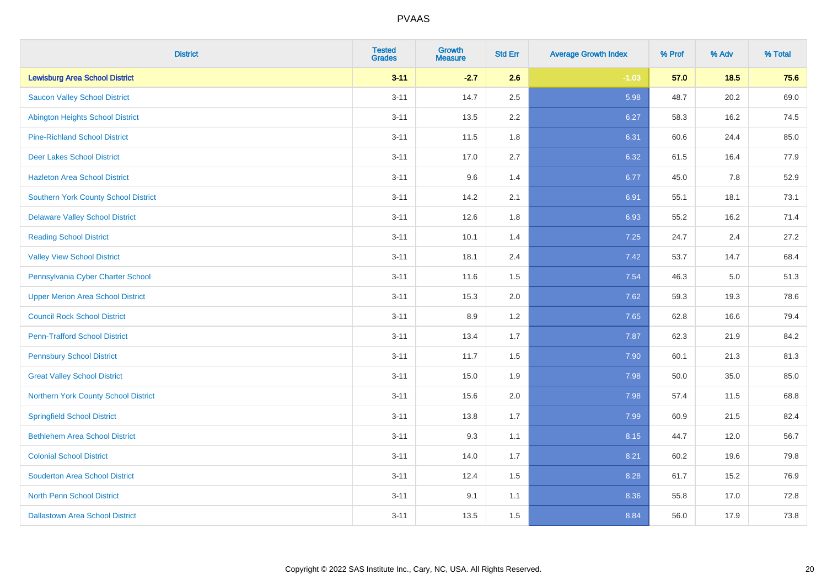| <b>District</b>                          | <b>Tested</b><br><b>Grades</b> | <b>Growth</b><br><b>Measure</b> | <b>Std Err</b> | <b>Average Growth Index</b> | % Prof | % Adv | % Total |
|------------------------------------------|--------------------------------|---------------------------------|----------------|-----------------------------|--------|-------|---------|
| <b>Lewisburg Area School District</b>    | $3 - 11$                       | $-2.7$                          | 2.6            | $-1.03$                     | 57.0   | 18.5  | 75.6    |
| <b>Saucon Valley School District</b>     | $3 - 11$                       | 14.7                            | $2.5\,$        | 5.98                        | 48.7   | 20.2  | 69.0    |
| <b>Abington Heights School District</b>  | $3 - 11$                       | 13.5                            | 2.2            | 6.27                        | 58.3   | 16.2  | 74.5    |
| <b>Pine-Richland School District</b>     | $3 - 11$                       | 11.5                            | 1.8            | 6.31                        | 60.6   | 24.4  | 85.0    |
| <b>Deer Lakes School District</b>        | $3 - 11$                       | 17.0                            | 2.7            | 6.32                        | 61.5   | 16.4  | 77.9    |
| <b>Hazleton Area School District</b>     | $3 - 11$                       | 9.6                             | 1.4            | 6.77                        | 45.0   | 7.8   | 52.9    |
| Southern York County School District     | $3 - 11$                       | 14.2                            | 2.1            | 6.91                        | 55.1   | 18.1  | 73.1    |
| <b>Delaware Valley School District</b>   | $3 - 11$                       | 12.6                            | 1.8            | 6.93                        | 55.2   | 16.2  | 71.4    |
| <b>Reading School District</b>           | $3 - 11$                       | 10.1                            | 1.4            | 7.25                        | 24.7   | 2.4   | 27.2    |
| <b>Valley View School District</b>       | $3 - 11$                       | 18.1                            | 2.4            | 7.42                        | 53.7   | 14.7  | 68.4    |
| Pennsylvania Cyber Charter School        | $3 - 11$                       | 11.6                            | 1.5            | 7.54                        | 46.3   | 5.0   | 51.3    |
| <b>Upper Merion Area School District</b> | $3 - 11$                       | 15.3                            | 2.0            | 7.62                        | 59.3   | 19.3  | 78.6    |
| <b>Council Rock School District</b>      | $3 - 11$                       | 8.9                             | 1.2            | 7.65                        | 62.8   | 16.6  | 79.4    |
| <b>Penn-Trafford School District</b>     | $3 - 11$                       | 13.4                            | 1.7            | 7.87                        | 62.3   | 21.9  | 84.2    |
| <b>Pennsbury School District</b>         | $3 - 11$                       | 11.7                            | 1.5            | 7.90                        | 60.1   | 21.3  | 81.3    |
| <b>Great Valley School District</b>      | $3 - 11$                       | 15.0                            | 1.9            | 7.98                        | 50.0   | 35.0  | 85.0    |
| Northern York County School District     | $3 - 11$                       | 15.6                            | 2.0            | 7.98                        | 57.4   | 11.5  | 68.8    |
| <b>Springfield School District</b>       | $3 - 11$                       | 13.8                            | 1.7            | 7.99                        | 60.9   | 21.5  | 82.4    |
| <b>Bethlehem Area School District</b>    | $3 - 11$                       | 9.3                             | 1.1            | 8.15                        | 44.7   | 12.0  | 56.7    |
| <b>Colonial School District</b>          | $3 - 11$                       | 14.0                            | 1.7            | 8.21                        | 60.2   | 19.6  | 79.8    |
| <b>Souderton Area School District</b>    | $3 - 11$                       | 12.4                            | 1.5            | 8.28                        | 61.7   | 15.2  | 76.9    |
| <b>North Penn School District</b>        | $3 - 11$                       | 9.1                             | 1.1            | 8.36                        | 55.8   | 17.0  | 72.8    |
| <b>Dallastown Area School District</b>   | $3 - 11$                       | 13.5                            | 1.5            | 8.84                        | 56.0   | 17.9  | 73.8    |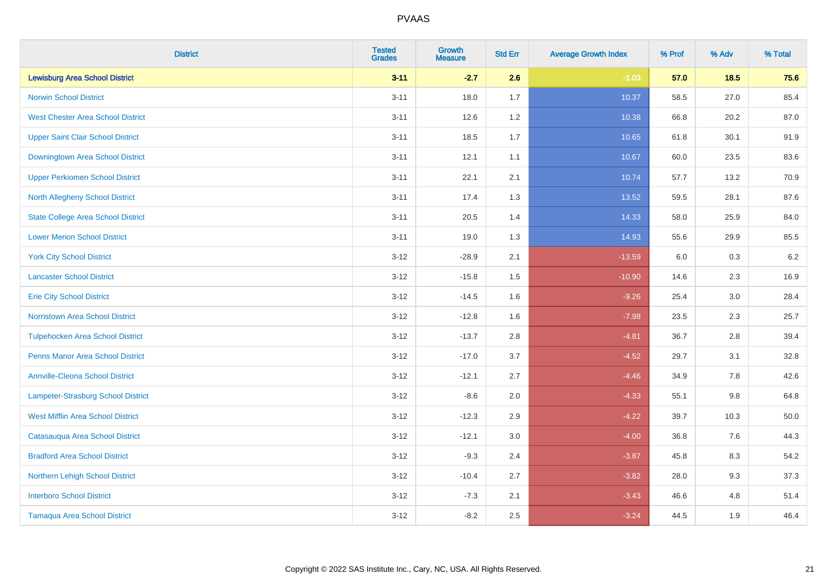| <b>District</b>                           | <b>Tested</b><br><b>Grades</b> | <b>Growth</b><br><b>Measure</b> | <b>Std Err</b> | <b>Average Growth Index</b> | % Prof | % Adv   | % Total |
|-------------------------------------------|--------------------------------|---------------------------------|----------------|-----------------------------|--------|---------|---------|
| <b>Lewisburg Area School District</b>     | $3 - 11$                       | $-2.7$                          | 2.6            | $-1.03$                     | 57.0   | 18.5    | 75.6    |
| <b>Norwin School District</b>             | $3 - 11$                       | 18.0                            | 1.7            | 10.37                       | 58.5   | 27.0    | 85.4    |
| <b>West Chester Area School District</b>  | $3 - 11$                       | 12.6                            | 1.2            | 10.38                       | 66.8   | 20.2    | 87.0    |
| <b>Upper Saint Clair School District</b>  | $3 - 11$                       | 18.5                            | 1.7            | 10.65                       | 61.8   | 30.1    | 91.9    |
| <b>Downingtown Area School District</b>   | $3 - 11$                       | 12.1                            | 1.1            | 10.67                       | 60.0   | 23.5    | 83.6    |
| <b>Upper Perkiomen School District</b>    | $3 - 11$                       | 22.1                            | 2.1            | 10.74                       | 57.7   | 13.2    | 70.9    |
| North Allegheny School District           | $3 - 11$                       | 17.4                            | 1.3            | 13.52                       | 59.5   | 28.1    | 87.6    |
| <b>State College Area School District</b> | $3 - 11$                       | 20.5                            | 1.4            | 14.33                       | 58.0   | 25.9    | 84.0    |
| <b>Lower Merion School District</b>       | $3 - 11$                       | 19.0                            | 1.3            | 14.93                       | 55.6   | 29.9    | 85.5    |
| <b>York City School District</b>          | $3 - 12$                       | $-28.9$                         | 2.1            | $-13.59$                    | 6.0    | 0.3     | $6.2\,$ |
| <b>Lancaster School District</b>          | $3 - 12$                       | $-15.8$                         | 1.5            | $-10.90$                    | 14.6   | 2.3     | 16.9    |
| <b>Erie City School District</b>          | $3 - 12$                       | $-14.5$                         | 1.6            | $-9.26$                     | 25.4   | 3.0     | 28.4    |
| Norristown Area School District           | $3 - 12$                       | $-12.8$                         | 1.6            | $-7.98$                     | 23.5   | $2.3\,$ | 25.7    |
| <b>Tulpehocken Area School District</b>   | $3 - 12$                       | $-13.7$                         | 2.8            | $-4.81$                     | 36.7   | 2.8     | 39.4    |
| <b>Penns Manor Area School District</b>   | $3 - 12$                       | $-17.0$                         | 3.7            | $-4.52$                     | 29.7   | 3.1     | 32.8    |
| <b>Annville-Cleona School District</b>    | $3 - 12$                       | $-12.1$                         | 2.7            | $-4.46$                     | 34.9   | 7.8     | 42.6    |
| <b>Lampeter-Strasburg School District</b> | $3 - 12$                       | $-8.6$                          | 2.0            | $-4.33$                     | 55.1   | 9.8     | 64.8    |
| <b>West Mifflin Area School District</b>  | $3 - 12$                       | $-12.3$                         | 2.9            | $-4.22$                     | 39.7   | 10.3    | 50.0    |
| Catasauqua Area School District           | $3 - 12$                       | $-12.1$                         | 3.0            | $-4.00$                     | 36.8   | 7.6     | 44.3    |
| <b>Bradford Area School District</b>      | $3 - 12$                       | $-9.3$                          | 2.4            | $-3.87$                     | 45.8   | 8.3     | 54.2    |
| Northern Lehigh School District           | $3 - 12$                       | $-10.4$                         | 2.7            | $-3.82$                     | 28.0   | 9.3     | 37.3    |
| <b>Interboro School District</b>          | $3 - 12$                       | $-7.3$                          | 2.1            | $-3.43$                     | 46.6   | 4.8     | 51.4    |
| <b>Tamaqua Area School District</b>       | $3 - 12$                       | $-8.2$                          | 2.5            | $-3.24$                     | 44.5   | 1.9     | 46.4    |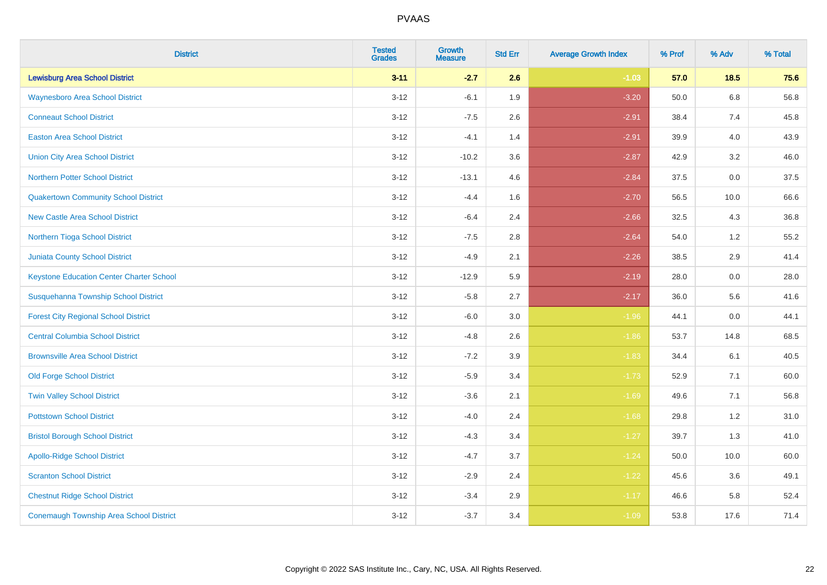| <b>District</b>                                 | <b>Tested</b><br><b>Grades</b> | Growth<br><b>Measure</b> | <b>Std Err</b> | <b>Average Growth Index</b> | % Prof | % Adv   | % Total |
|-------------------------------------------------|--------------------------------|--------------------------|----------------|-----------------------------|--------|---------|---------|
| <b>Lewisburg Area School District</b>           | $3 - 11$                       | $-2.7$                   | 2.6            | $-1.03$                     | 57.0   | 18.5    | 75.6    |
| <b>Waynesboro Area School District</b>          | $3 - 12$                       | $-6.1$                   | 1.9            | $-3.20$                     | 50.0   | 6.8     | 56.8    |
| <b>Conneaut School District</b>                 | $3 - 12$                       | $-7.5$                   | 2.6            | $-2.91$                     | 38.4   | 7.4     | 45.8    |
| <b>Easton Area School District</b>              | $3 - 12$                       | $-4.1$                   | 1.4            | $-2.91$                     | 39.9   | 4.0     | 43.9    |
| <b>Union City Area School District</b>          | $3 - 12$                       | $-10.2$                  | 3.6            | $-2.87$                     | 42.9   | 3.2     | 46.0    |
| <b>Northern Potter School District</b>          | $3 - 12$                       | $-13.1$                  | 4.6            | $-2.84$                     | 37.5   | 0.0     | 37.5    |
| <b>Quakertown Community School District</b>     | $3 - 12$                       | $-4.4$                   | 1.6            | $-2.70$                     | 56.5   | 10.0    | 66.6    |
| <b>New Castle Area School District</b>          | $3 - 12$                       | $-6.4$                   | 2.4            | $-2.66$                     | 32.5   | 4.3     | 36.8    |
| Northern Tioga School District                  | $3 - 12$                       | $-7.5$                   | 2.8            | $-2.64$                     | 54.0   | 1.2     | 55.2    |
| <b>Juniata County School District</b>           | $3 - 12$                       | $-4.9$                   | 2.1            | $-2.26$                     | 38.5   | $2.9\,$ | 41.4    |
| <b>Keystone Education Center Charter School</b> | $3 - 12$                       | $-12.9$                  | 5.9            | $-2.19$                     | 28.0   | 0.0     | 28.0    |
| <b>Susquehanna Township School District</b>     | $3 - 12$                       | $-5.8$                   | 2.7            | $-2.17$                     | 36.0   | 5.6     | 41.6    |
| <b>Forest City Regional School District</b>     | $3 - 12$                       | $-6.0$                   | 3.0            | $-1.96$                     | 44.1   | 0.0     | 44.1    |
| <b>Central Columbia School District</b>         | $3 - 12$                       | $-4.8$                   | 2.6            | $-1.86$                     | 53.7   | 14.8    | 68.5    |
| <b>Brownsville Area School District</b>         | $3 - 12$                       | $-7.2$                   | 3.9            | $-1.83$                     | 34.4   | 6.1     | 40.5    |
| <b>Old Forge School District</b>                | $3 - 12$                       | $-5.9$                   | 3.4            | $-1.73$                     | 52.9   | 7.1     | 60.0    |
| <b>Twin Valley School District</b>              | $3 - 12$                       | $-3.6$                   | 2.1            | $-1.69$                     | 49.6   | 7.1     | 56.8    |
| <b>Pottstown School District</b>                | $3 - 12$                       | $-4.0$                   | 2.4            | $-1.68$                     | 29.8   | $1.2$   | 31.0    |
| <b>Bristol Borough School District</b>          | $3 - 12$                       | $-4.3$                   | 3.4            | $-1.27$                     | 39.7   | 1.3     | 41.0    |
| <b>Apollo-Ridge School District</b>             | $3 - 12$                       | $-4.7$                   | 3.7            | $-1.24$                     | 50.0   | 10.0    | 60.0    |
| <b>Scranton School District</b>                 | $3-12$                         | $-2.9$                   | 2.4            | $-1.22$                     | 45.6   | 3.6     | 49.1    |
| <b>Chestnut Ridge School District</b>           | $3 - 12$                       | $-3.4$                   | 2.9            | $-1.17$                     | 46.6   | 5.8     | 52.4    |
| <b>Conemaugh Township Area School District</b>  | $3 - 12$                       | $-3.7$                   | 3.4            | $-1.09$                     | 53.8   | 17.6    | 71.4    |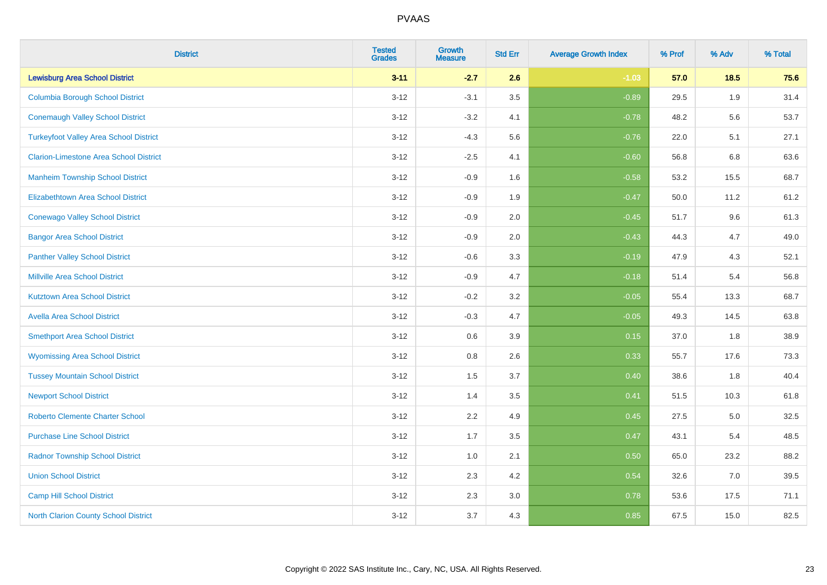| <b>District</b>                               | <b>Tested</b><br><b>Grades</b> | <b>Growth</b><br><b>Measure</b> | <b>Std Err</b> | <b>Average Growth Index</b> | % Prof | % Adv | % Total |
|-----------------------------------------------|--------------------------------|---------------------------------|----------------|-----------------------------|--------|-------|---------|
| <b>Lewisburg Area School District</b>         | $3 - 11$                       | $-2.7$                          | 2.6            | $-1.03$                     | 57.0   | 18.5  | 75.6    |
| <b>Columbia Borough School District</b>       | $3 - 12$                       | $-3.1$                          | 3.5            | $-0.89$                     | 29.5   | 1.9   | 31.4    |
| <b>Conemaugh Valley School District</b>       | $3 - 12$                       | $-3.2$                          | 4.1            | $-0.78$                     | 48.2   | 5.6   | 53.7    |
| <b>Turkeyfoot Valley Area School District</b> | $3 - 12$                       | $-4.3$                          | 5.6            | $-0.76$                     | 22.0   | 5.1   | 27.1    |
| <b>Clarion-Limestone Area School District</b> | $3 - 12$                       | $-2.5$                          | 4.1            | $-0.60$                     | 56.8   | 6.8   | 63.6    |
| <b>Manheim Township School District</b>       | $3 - 12$                       | $-0.9$                          | 1.6            | $-0.58$                     | 53.2   | 15.5  | 68.7    |
| Elizabethtown Area School District            | $3 - 12$                       | $-0.9$                          | 1.9            | $-0.47$                     | 50.0   | 11.2  | 61.2    |
| <b>Conewago Valley School District</b>        | $3 - 12$                       | $-0.9$                          | 2.0            | $-0.45$                     | 51.7   | 9.6   | 61.3    |
| <b>Bangor Area School District</b>            | $3 - 12$                       | $-0.9$                          | 2.0            | $-0.43$                     | 44.3   | 4.7   | 49.0    |
| <b>Panther Valley School District</b>         | $3 - 12$                       | $-0.6$                          | 3.3            | $-0.19$                     | 47.9   | 4.3   | 52.1    |
| Millville Area School District                | $3 - 12$                       | $-0.9$                          | 4.7            | $-0.18$                     | 51.4   | 5.4   | 56.8    |
| <b>Kutztown Area School District</b>          | $3 - 12$                       | $-0.2$                          | 3.2            | $-0.05$                     | 55.4   | 13.3  | 68.7    |
| <b>Avella Area School District</b>            | $3 - 12$                       | $-0.3$                          | 4.7            | $-0.05$                     | 49.3   | 14.5  | 63.8    |
| <b>Smethport Area School District</b>         | $3 - 12$                       | 0.6                             | 3.9            | 0.15                        | 37.0   | 1.8   | 38.9    |
| <b>Wyomissing Area School District</b>        | $3 - 12$                       | 0.8                             | 2.6            | 0.33                        | 55.7   | 17.6  | 73.3    |
| <b>Tussey Mountain School District</b>        | $3 - 12$                       | 1.5                             | 3.7            | 0.40                        | 38.6   | 1.8   | 40.4    |
| <b>Newport School District</b>                | $3 - 12$                       | 1.4                             | 3.5            | 0.41                        | 51.5   | 10.3  | 61.8    |
| <b>Roberto Clemente Charter School</b>        | $3 - 12$                       | 2.2                             | 4.9            | 0.45                        | 27.5   | 5.0   | 32.5    |
| <b>Purchase Line School District</b>          | $3 - 12$                       | 1.7                             | 3.5            | 0.47                        | 43.1   | 5.4   | 48.5    |
| <b>Radnor Township School District</b>        | $3 - 12$                       | 1.0                             | 2.1            | 0.50                        | 65.0   | 23.2  | 88.2    |
| <b>Union School District</b>                  | $3 - 12$                       | 2.3                             | 4.2            | 0.54                        | 32.6   | 7.0   | 39.5    |
| <b>Camp Hill School District</b>              | $3 - 12$                       | 2.3                             | 3.0            | 0.78                        | 53.6   | 17.5  | 71.1    |
| North Clarion County School District          | $3 - 12$                       | 3.7                             | 4.3            | 0.85                        | 67.5   | 15.0  | 82.5    |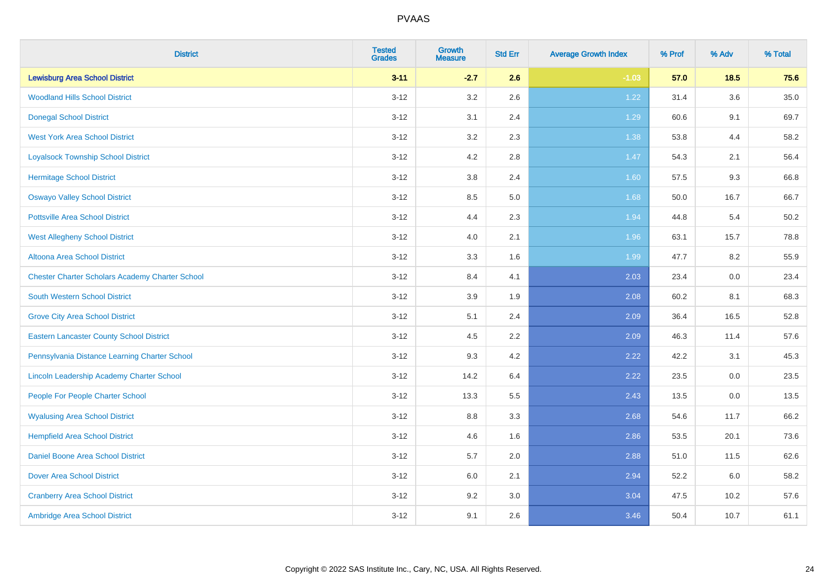| <b>District</b>                                        | <b>Tested</b><br><b>Grades</b> | <b>Growth</b><br><b>Measure</b> | <b>Std Err</b> | <b>Average Growth Index</b> | % Prof | % Adv   | % Total  |
|--------------------------------------------------------|--------------------------------|---------------------------------|----------------|-----------------------------|--------|---------|----------|
| <b>Lewisburg Area School District</b>                  | $3 - 11$                       | $-2.7$                          | 2.6            | $-1.03$                     | 57.0   | 18.5    | 75.6     |
| <b>Woodland Hills School District</b>                  | $3 - 12$                       | 3.2                             | 2.6            | 1.22                        | 31.4   | $3.6\,$ | $35.0\,$ |
| <b>Donegal School District</b>                         | $3 - 12$                       | 3.1                             | 2.4            | 1.29                        | 60.6   | 9.1     | 69.7     |
| <b>West York Area School District</b>                  | $3 - 12$                       | 3.2                             | 2.3            | 1.38                        | 53.8   | 4.4     | 58.2     |
| <b>Loyalsock Township School District</b>              | $3 - 12$                       | 4.2                             | 2.8            | $1.47$                      | 54.3   | 2.1     | 56.4     |
| <b>Hermitage School District</b>                       | $3 - 12$                       | 3.8                             | 2.4            | 1.60                        | 57.5   | 9.3     | 66.8     |
| <b>Oswayo Valley School District</b>                   | $3 - 12$                       | 8.5                             | 5.0            | 1.68                        | 50.0   | 16.7    | 66.7     |
| <b>Pottsville Area School District</b>                 | $3 - 12$                       | 4.4                             | 2.3            | 1.94                        | 44.8   | 5.4     | 50.2     |
| <b>West Allegheny School District</b>                  | $3 - 12$                       | 4.0                             | 2.1            | 1.96                        | 63.1   | 15.7    | 78.8     |
| Altoona Area School District                           | $3 - 12$                       | 3.3                             | 1.6            | 1.99                        | 47.7   | 8.2     | 55.9     |
| <b>Chester Charter Scholars Academy Charter School</b> | $3 - 12$                       | 8.4                             | 4.1            | 2.03                        | 23.4   | 0.0     | 23.4     |
| South Western School District                          | $3 - 12$                       | 3.9                             | 1.9            | 2.08                        | 60.2   | 8.1     | 68.3     |
| <b>Grove City Area School District</b>                 | $3 - 12$                       | 5.1                             | 2.4            | 2.09                        | 36.4   | 16.5    | 52.8     |
| <b>Eastern Lancaster County School District</b>        | $3 - 12$                       | 4.5                             | 2.2            | 2.09                        | 46.3   | 11.4    | 57.6     |
| Pennsylvania Distance Learning Charter School          | $3 - 12$                       | 9.3                             | 4.2            | 2.22                        | 42.2   | 3.1     | 45.3     |
| Lincoln Leadership Academy Charter School              | $3 - 12$                       | 14.2                            | 6.4            | 2.22                        | 23.5   | $0.0\,$ | 23.5     |
| People For People Charter School                       | $3 - 12$                       | 13.3                            | 5.5            | 2.43                        | 13.5   | 0.0     | 13.5     |
| <b>Wyalusing Area School District</b>                  | $3 - 12$                       | 8.8                             | 3.3            | 2.68                        | 54.6   | 11.7    | 66.2     |
| <b>Hempfield Area School District</b>                  | $3 - 12$                       | 4.6                             | 1.6            | 2.86                        | 53.5   | 20.1    | 73.6     |
| <b>Daniel Boone Area School District</b>               | $3 - 12$                       | 5.7                             | 2.0            | 2.88                        | 51.0   | 11.5    | 62.6     |
| <b>Dover Area School District</b>                      | $3 - 12$                       | 6.0                             | 2.1            | 2.94                        | 52.2   | 6.0     | 58.2     |
| <b>Cranberry Area School District</b>                  | $3 - 12$                       | 9.2                             | 3.0            | 3.04                        | 47.5   | 10.2    | 57.6     |
| Ambridge Area School District                          | $3 - 12$                       | 9.1                             | 2.6            | 3.46                        | 50.4   | 10.7    | 61.1     |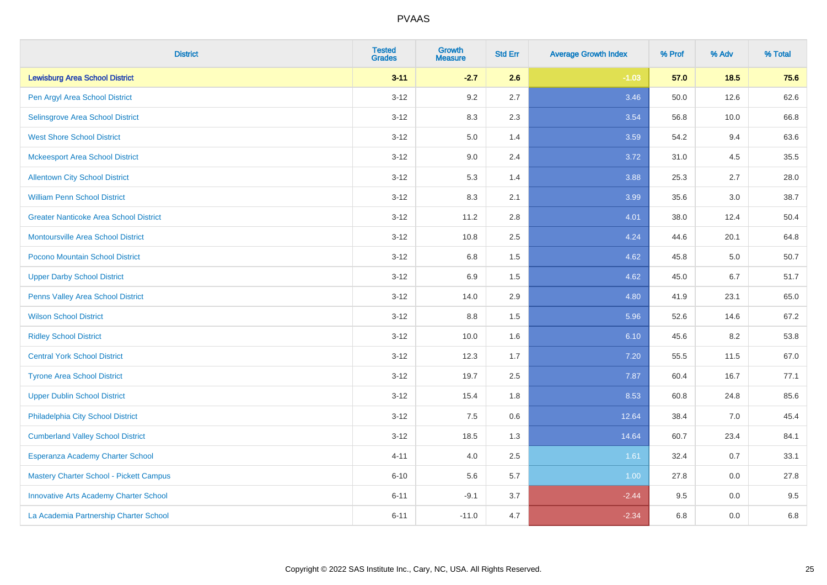| <b>District</b>                               | <b>Tested</b><br><b>Grades</b> | <b>Growth</b><br><b>Measure</b> | <b>Std Err</b> | <b>Average Growth Index</b> | % Prof | % Adv   | % Total |
|-----------------------------------------------|--------------------------------|---------------------------------|----------------|-----------------------------|--------|---------|---------|
| <b>Lewisburg Area School District</b>         | $3 - 11$                       | $-2.7$                          | 2.6            | $-1.03$                     | 57.0   | 18.5    | 75.6    |
| Pen Argyl Area School District                | $3 - 12$                       | 9.2                             | 2.7            | 3.46                        | 50.0   | 12.6    | 62.6    |
| Selinsgrove Area School District              | $3-12$                         | 8.3                             | 2.3            | 3.54                        | 56.8   | 10.0    | 66.8    |
| <b>West Shore School District</b>             | $3 - 12$                       | 5.0                             | 1.4            | 3.59                        | 54.2   | 9.4     | 63.6    |
| <b>Mckeesport Area School District</b>        | $3 - 12$                       | 9.0                             | 2.4            | 3.72                        | 31.0   | 4.5     | 35.5    |
| <b>Allentown City School District</b>         | $3-12$                         | 5.3                             | 1.4            | 3.88                        | 25.3   | 2.7     | 28.0    |
| <b>William Penn School District</b>           | $3-12$                         | 8.3                             | 2.1            | 3.99                        | 35.6   | 3.0     | 38.7    |
| <b>Greater Nanticoke Area School District</b> | $3 - 12$                       | 11.2                            | 2.8            | 4.01                        | 38.0   | 12.4    | 50.4    |
| Montoursville Area School District            | $3-12$                         | 10.8                            | 2.5            | 4.24                        | 44.6   | 20.1    | 64.8    |
| Pocono Mountain School District               | $3 - 12$                       | 6.8                             | 1.5            | 4.62                        | 45.8   | 5.0     | 50.7    |
| <b>Upper Darby School District</b>            | $3 - 12$                       | 6.9                             | 1.5            | 4.62                        | 45.0   | 6.7     | 51.7    |
| Penns Valley Area School District             | $3 - 12$                       | 14.0                            | 2.9            | 4.80                        | 41.9   | 23.1    | 65.0    |
| <b>Wilson School District</b>                 | $3 - 12$                       | 8.8                             | 1.5            | 5.96                        | 52.6   | 14.6    | 67.2    |
| <b>Ridley School District</b>                 | $3-12$                         | 10.0                            | 1.6            | 6.10                        | 45.6   | 8.2     | 53.8    |
| <b>Central York School District</b>           | $3 - 12$                       | 12.3                            | 1.7            | $7.20$                      | 55.5   | 11.5    | 67.0    |
| <b>Tyrone Area School District</b>            | $3 - 12$                       | 19.7                            | 2.5            | 7.87                        | 60.4   | 16.7    | 77.1    |
| <b>Upper Dublin School District</b>           | $3 - 12$                       | 15.4                            | 1.8            | 8.53                        | 60.8   | 24.8    | 85.6    |
| Philadelphia City School District             | $3 - 12$                       | 7.5                             | 0.6            | 12.64                       | 38.4   | 7.0     | 45.4    |
| <b>Cumberland Valley School District</b>      | $3 - 12$                       | 18.5                            | 1.3            | 14.64                       | 60.7   | 23.4    | 84.1    |
| Esperanza Academy Charter School              | $4 - 11$                       | 4.0                             | 2.5            | 1.61                        | 32.4   | 0.7     | 33.1    |
| Mastery Charter School - Pickett Campus       | $6 - 10$                       | 5.6                             | 5.7            | 1.00                        | 27.8   | 0.0     | 27.8    |
| <b>Innovative Arts Academy Charter School</b> | $6 - 11$                       | $-9.1$                          | 3.7            | $-2.44$                     | 9.5    | 0.0     | 9.5     |
| La Academia Partnership Charter School        | $6 - 11$                       | $-11.0$                         | 4.7            | $-2.34$                     | 6.8    | $0.0\,$ | $6.8\,$ |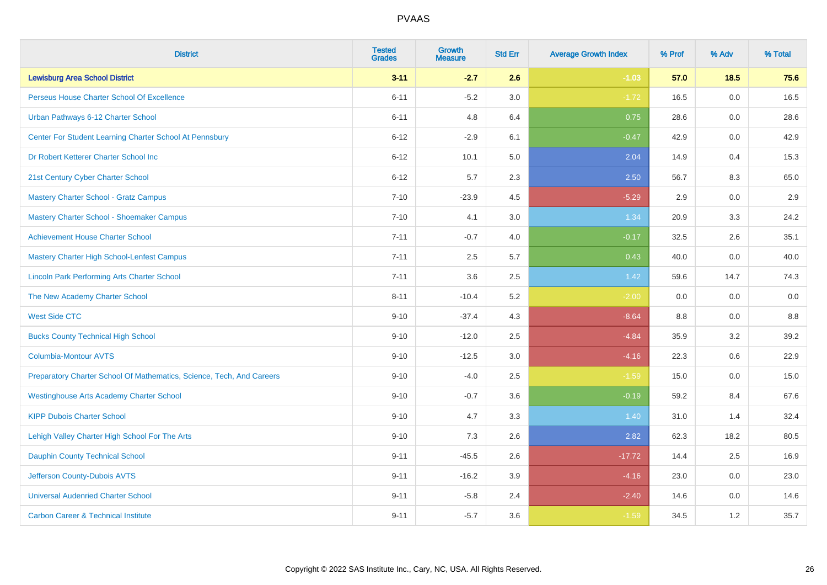| <b>District</b>                                                       | <b>Tested</b><br><b>Grades</b> | Growth<br><b>Measure</b> | <b>Std Err</b> | <b>Average Growth Index</b> | % Prof | % Adv | % Total |
|-----------------------------------------------------------------------|--------------------------------|--------------------------|----------------|-----------------------------|--------|-------|---------|
| <b>Lewisburg Area School District</b>                                 | $3 - 11$                       | $-2.7$                   | 2.6            | $-1.03$                     | 57.0   | 18.5  | 75.6    |
| Perseus House Charter School Of Excellence                            | $6 - 11$                       | $-5.2$                   | 3.0            | $-1.72$                     | 16.5   | 0.0   | 16.5    |
| Urban Pathways 6-12 Charter School                                    | $6 - 11$                       | 4.8                      | 6.4            | 0.75                        | 28.6   | 0.0   | 28.6    |
| Center For Student Learning Charter School At Pennsbury               | $6 - 12$                       | $-2.9$                   | 6.1            | $-0.47$                     | 42.9   | 0.0   | 42.9    |
| Dr Robert Ketterer Charter School Inc                                 | $6 - 12$                       | 10.1                     | 5.0            | 2.04                        | 14.9   | 0.4   | 15.3    |
| 21st Century Cyber Charter School                                     | $6 - 12$                       | 5.7                      | 2.3            | 2.50                        | 56.7   | 8.3   | 65.0    |
| Mastery Charter School - Gratz Campus                                 | $7 - 10$                       | $-23.9$                  | 4.5            | $-5.29$                     | 2.9    | 0.0   | 2.9     |
| Mastery Charter School - Shoemaker Campus                             | $7 - 10$                       | 4.1                      | 3.0            | 1.34                        | 20.9   | 3.3   | 24.2    |
| <b>Achievement House Charter School</b>                               | $7 - 11$                       | $-0.7$                   | 4.0            | $-0.17$                     | 32.5   | 2.6   | 35.1    |
| <b>Mastery Charter High School-Lenfest Campus</b>                     | $7 - 11$                       | 2.5                      | 5.7            | 0.43                        | 40.0   | 0.0   | 40.0    |
| <b>Lincoln Park Performing Arts Charter School</b>                    | $7 - 11$                       | 3.6                      | 2.5            | 1.42                        | 59.6   | 14.7  | 74.3    |
| The New Academy Charter School                                        | $8 - 11$                       | $-10.4$                  | 5.2            | $-2.00$                     | 0.0    | 0.0   | 0.0     |
| <b>West Side CTC</b>                                                  | $9 - 10$                       | $-37.4$                  | 4.3            | $-8.64$                     | 8.8    | 0.0   | 8.8     |
| <b>Bucks County Technical High School</b>                             | $9 - 10$                       | $-12.0$                  | 2.5            | $-4.84$                     | 35.9   | 3.2   | 39.2    |
| <b>Columbia-Montour AVTS</b>                                          | $9 - 10$                       | $-12.5$                  | 3.0            | $-4.16$                     | 22.3   | 0.6   | 22.9    |
| Preparatory Charter School Of Mathematics, Science, Tech, And Careers | $9 - 10$                       | $-4.0$                   | 2.5            | $-1.59$                     | 15.0   | 0.0   | 15.0    |
| <b>Westinghouse Arts Academy Charter School</b>                       | $9 - 10$                       | $-0.7$                   | 3.6            | $-0.19$                     | 59.2   | 8.4   | 67.6    |
| <b>KIPP Dubois Charter School</b>                                     | $9 - 10$                       | 4.7                      | 3.3            | 1.40                        | 31.0   | 1.4   | 32.4    |
| Lehigh Valley Charter High School For The Arts                        | $9 - 10$                       | 7.3                      | 2.6            | 2.82                        | 62.3   | 18.2  | 80.5    |
| <b>Dauphin County Technical School</b>                                | $9 - 11$                       | $-45.5$                  | 2.6            | $-17.72$                    | 14.4   | 2.5   | 16.9    |
| Jefferson County-Dubois AVTS                                          | $9 - 11$                       | $-16.2$                  | 3.9            | $-4.16$                     | 23.0   | 0.0   | 23.0    |
| <b>Universal Audenried Charter School</b>                             | $9 - 11$                       | $-5.8$                   | 2.4            | $-2.40$                     | 14.6   | 0.0   | 14.6    |
| <b>Carbon Career &amp; Technical Institute</b>                        | $9 - 11$                       | $-5.7$                   | 3.6            | $-1.59$                     | 34.5   | 1.2   | 35.7    |